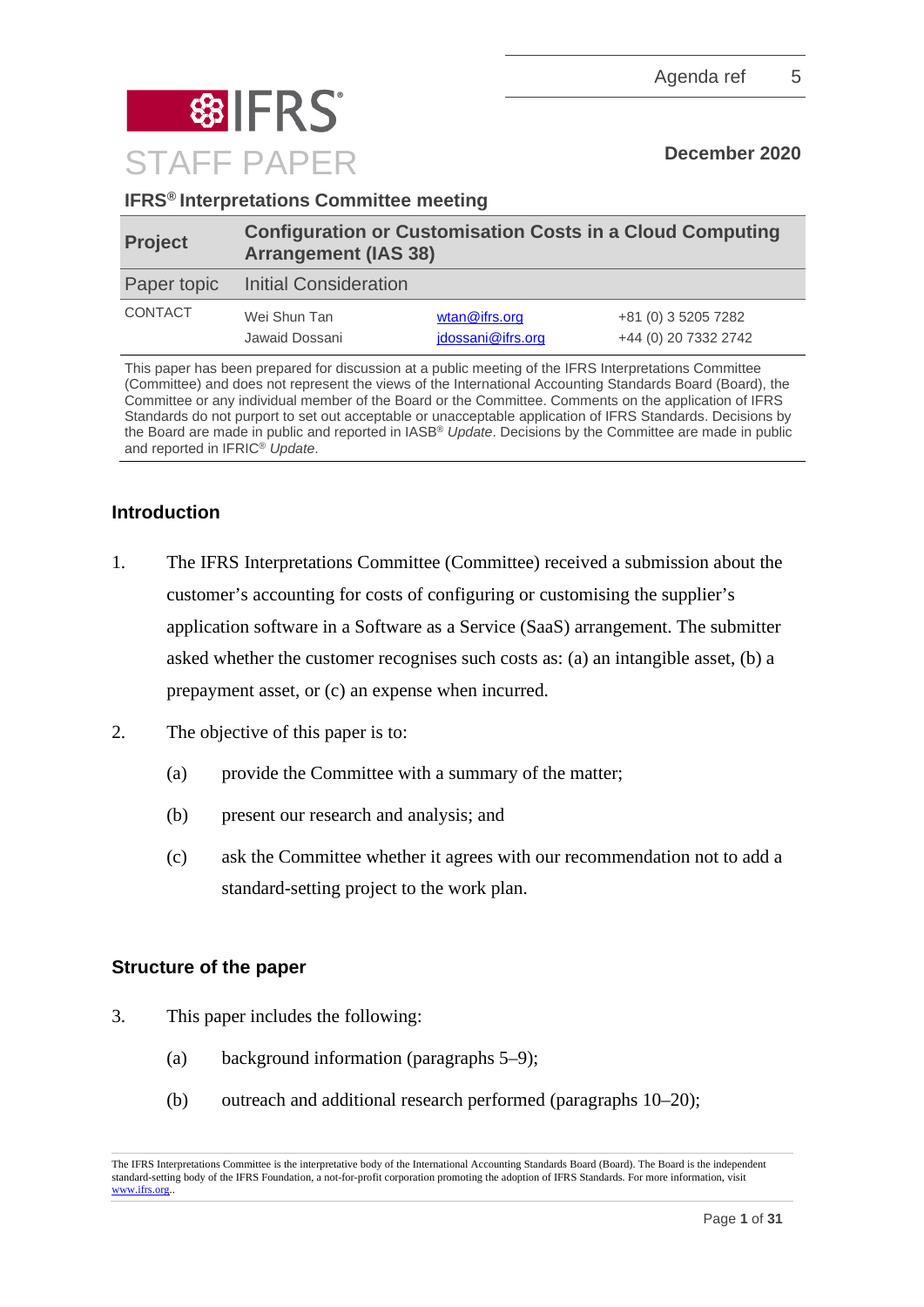

**IFRS® Interpretations Committee meeting**

| <b>Project</b> | <b>Configuration or Customisation Costs in a Cloud Computing</b><br><b>Arrangement (IAS 38)</b> |                                                |                                             |
|----------------|-------------------------------------------------------------------------------------------------|------------------------------------------------|---------------------------------------------|
| Paper topic    | <b>Initial Consideration</b>                                                                    |                                                |                                             |
| <b>CONTACT</b> | Wei Shun Tan<br>Jawaid Dossani                                                                  | $w \tan \omega$ if rs.org<br>jdossani@ifrs.org | +81 (0) 3 5205 7282<br>+44 (0) 20 7332 2742 |

This paper has been prepared for discussion at a public meeting of the IFRS Interpretations Committee (Committee) and does not represent the views of the International Accounting Standards Board (Board), the Committee or any individual member of the Board or the Committee. Comments on the application of IFRS Standards do not purport to set out acceptable or unacceptable application of IFRS Standards. Decisions by the Board are made in public and reported in IASB® *Update*. Decisions by the Committee are made in public and reported in IFRIC® *Update*.

# **Introduction**

- 1. The IFRS Interpretations Committee (Committee) received a submission about the customer's accounting for costs of configuring or customising the supplier's application software in a Software as a Service (SaaS) arrangement. The submitter asked whether the customer recognises such costs as: (a) an intangible asset, (b) a prepayment asset, or (c) an expense when incurred.
- 2. The objective of this paper is to:
	- (a) provide the Committee with a summary of the matter;
	- (b) present our research and analysis; and
	- (c) ask the Committee whether it agrees with our recommendation not to add a standard-setting project to the work plan.

# **Structure of the paper**

- 3. This paper includes the following:
	- (a) background information (paragraphs [5–](#page-1-0)[9\)](#page-2-0);
	- (b) outreach and additional research performed (paragraphs [10](#page-2-1)[–20\)](#page-6-0);

The IFRS Interpretations Committee is the interpretative body of the International Accounting Standards Board (Board). The Board is the independent standard-setting body of the IFRS Foundation, a not-for-profit corporation promoting the adoption of IFRS Standards. For more information, visit [www.ifrs.org..](http://www.ifrs.org/)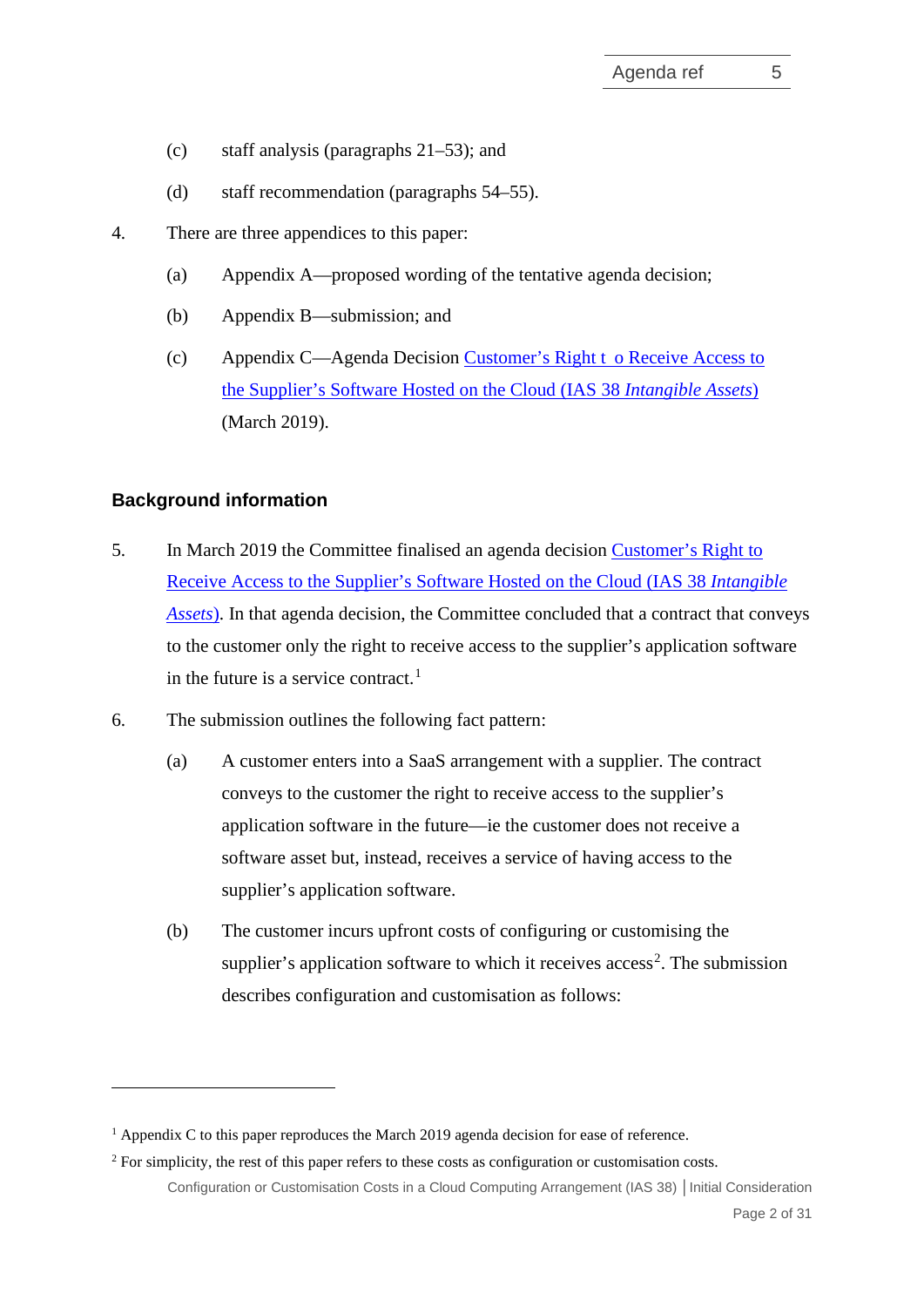- (c) staff analysis (paragraphs [21](#page-6-1)[–53\)](#page-18-0); and
- (d) staff recommendation (paragraphs [54–](#page-18-1)[55\)](#page-19-0).
- 4. There are three appendices to this paper:
	- (a) Appendix A—proposed wording of the tentative agenda decision;
	- (b) Appendix B—submission; and
	- (c) Appendix C—Agenda Decision Customer's Right t [o Receive Access to](https://cdn.ifrs.org/-/media/feature/supporting-implementation/agenda-decisions/ias38-customers-right-to-receive-access-to-the-suppliers-software-hosted-on-the-cloud-mar-19.pdf)  [the Supplier's Software Hosted on the Cloud \(IAS 38](https://cdn.ifrs.org/-/media/feature/supporting-implementation/agenda-decisions/ias38-customers-right-to-receive-access-to-the-suppliers-software-hosted-on-the-cloud-mar-19.pdf) *Intangible Assets*) (March 2019).

# **Background information**

- <span id="page-1-0"></span>5. In March 2019 the Committee finalised an agenda decision [Customer's Right to](https://cdn.ifrs.org/-/media/feature/supporting-implementation/agenda-decisions/ias38-customers-right-to-receive-access-to-the-suppliers-software-hosted-on-the-cloud-mar-19.pdf) Receive [Access to the Supplier's Software Hosted on the Cloud \(IAS 38](https://cdn.ifrs.org/-/media/feature/supporting-implementation/agenda-decisions/ias38-customers-right-to-receive-access-to-the-suppliers-software-hosted-on-the-cloud-mar-19.pdf) *Intangible [Assets](https://cdn.ifrs.org/-/media/feature/supporting-implementation/agenda-decisions/ias38-customers-right-to-receive-access-to-the-suppliers-software-hosted-on-the-cloud-mar-19.pdf)*). In that agenda decision, the Committee concluded that a contract that conveys to the customer only the right to receive access to the supplier's application software in the future is a service contract. [1](#page-1-1)
- 6. The submission outlines the following fact pattern:
	- (a) A customer enters into a SaaS arrangement with a supplier. The contract conveys to the customer the right to receive access to the supplier's application software in the future—ie the customer does not receive a software asset but, instead, receives a service of having access to the supplier's application software.
	- (b) The customer incurs upfront costs of configuring or customising the supplier's application software to which it receives access<sup>[2](#page-1-2)</sup>. The submission describes configuration and customisation as follows:

<span id="page-1-3"></span><span id="page-1-1"></span><sup>&</sup>lt;sup>1</sup> Appendix C to this paper reproduces the March 2019 agenda decision for ease of reference.

<span id="page-1-2"></span>Configuration or Customisation Costs in a Cloud Computing Arrangement (IAS 38) **│**Initial Consideration <sup>2</sup> For simplicity, the rest of this paper refers to these costs as configuration or customisation costs.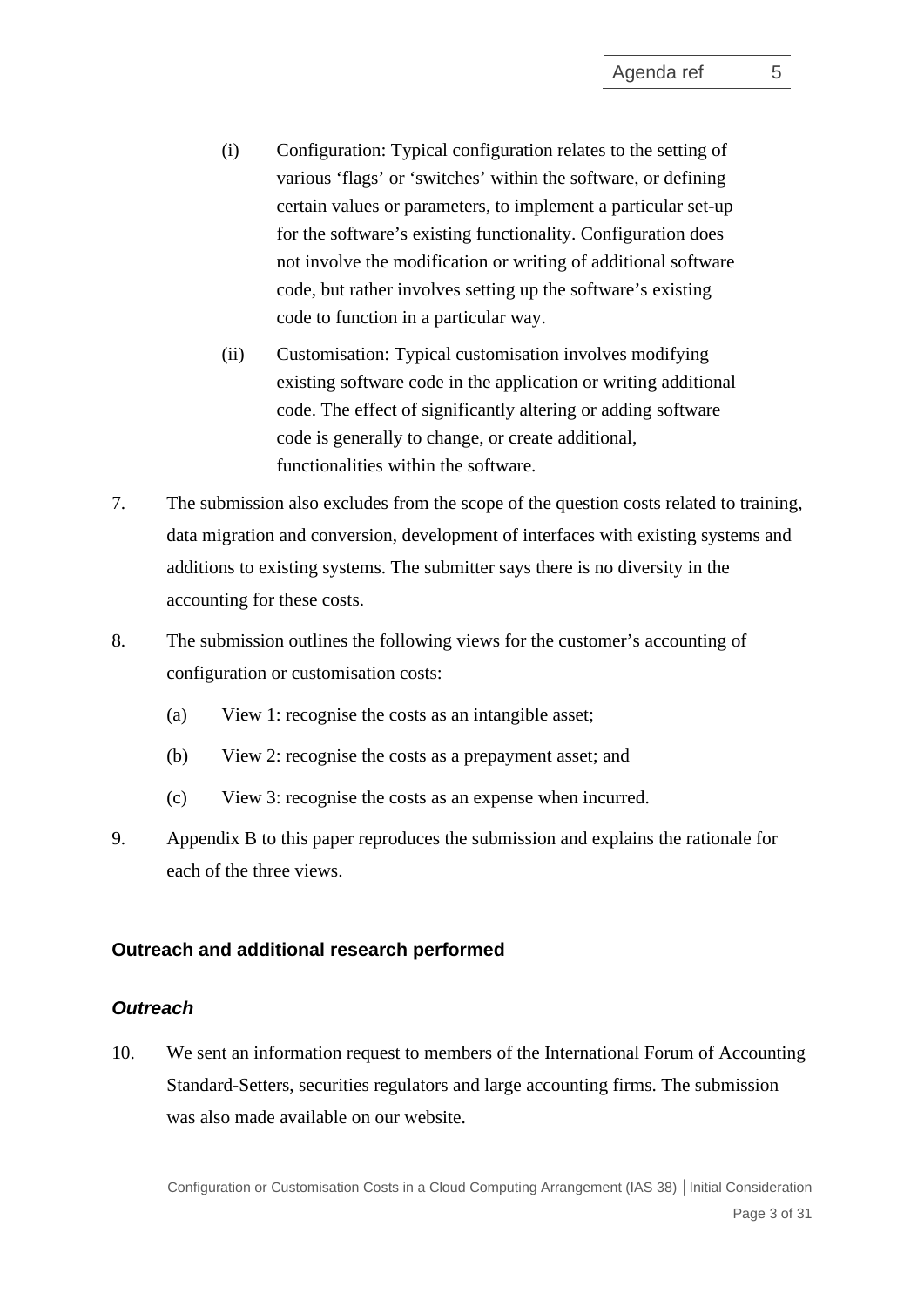- (i) Configuration: Typical configuration relates to the setting of various 'flags' or 'switches' within the software, or defining certain values or parameters, to implement a particular set-up for the software's existing functionality. Configuration does not involve the modification or writing of additional software code, but rather involves setting up the software's existing code to function in a particular way.
- (ii) Customisation: Typical customisation involves modifying existing software code in the application or writing additional code. The effect of significantly altering or adding software code is generally to change, or create additional, functionalities within the software.
- 7. The submission also excludes from the scope of the question costs related to training, data migration and conversion, development of interfaces with existing systems and additions to existing systems. The submitter says there is no diversity in the accounting for these costs.
- <span id="page-2-2"></span>8. The submission outlines the following views for the customer's accounting of configuration or customisation costs:
	- (a) View 1: recognise the costs as an intangible asset;
	- (b) View 2: recognise the costs as a prepayment asset; and
	- (c) View 3: recognise the costs as an expense when incurred.
- <span id="page-2-0"></span>9. Appendix B to this paper reproduces the submission and explains the rationale for each of the three views.

#### **Outreach and additional research performed**

## *Outreach*

<span id="page-2-1"></span>10. We sent an information request to members of the International Forum of Accounting Standard-Setters, securities regulators and large accounting firms. The submission was also made available on our website.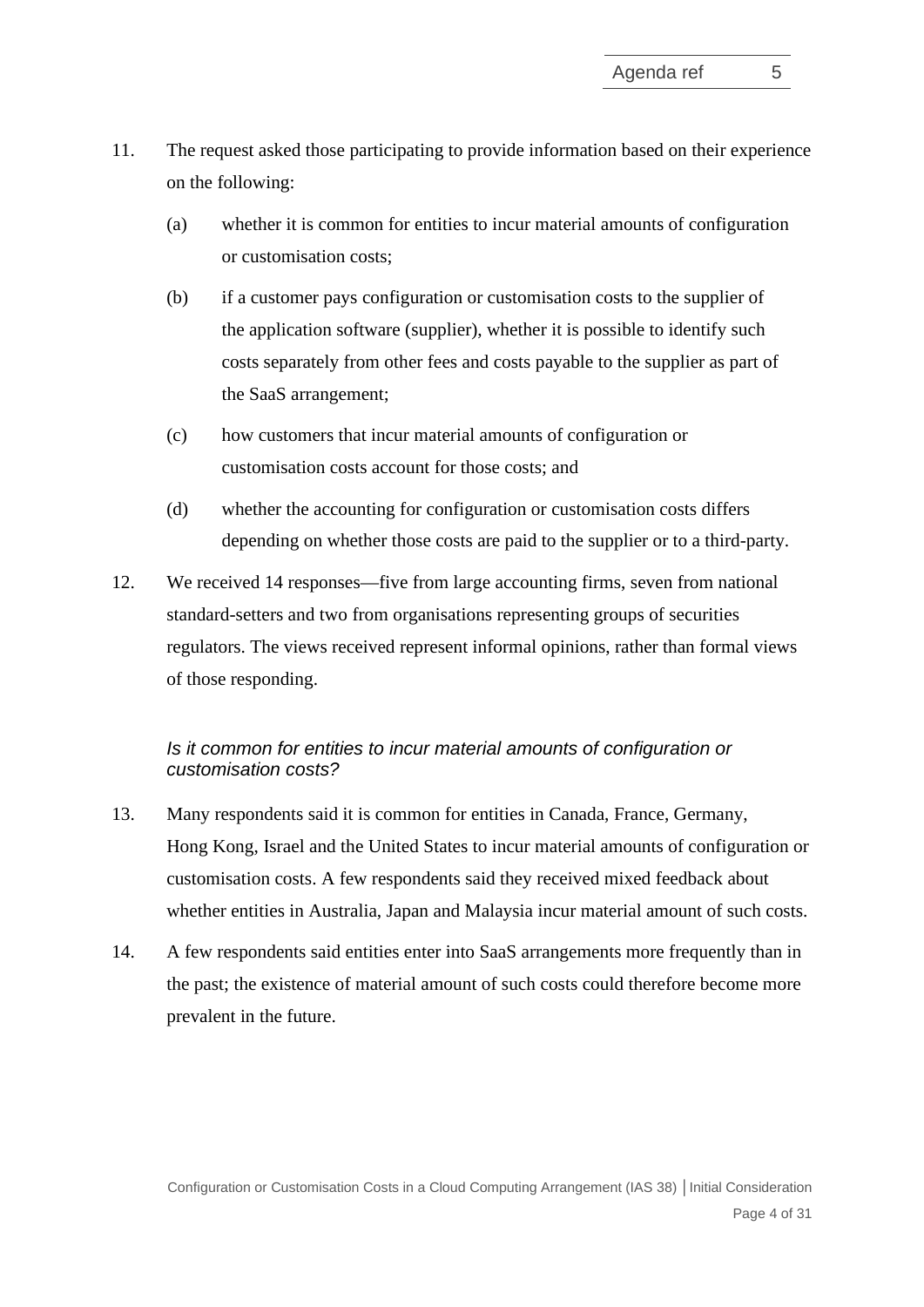- 11. The request asked those participating to provide information based on their experience on the following:
	- (a) whether it is common for entities to incur material amounts of configuration or customisation costs;
	- (b) if a customer pays configuration or customisation costs to the supplier of the application software (supplier), whether it is possible to identify such costs separately from other fees and costs payable to the supplier as part of the SaaS arrangement;
	- (c) how customers that incur material amounts of configuration or customisation costs account for those costs; and
	- (d) whether the accounting for configuration or customisation costs differs depending on whether those costs are paid to the supplier or to a third-party.
- 12. We received 14 responses—five from large accounting firms, seven from national standard-setters and two from organisations representing groups of securities regulators. The views received represent informal opinions, rather than formal views of those responding.

# *Is it common for entities to incur material amounts of configuration or customisation costs?*

- 13. Many respondents said it is common for entities in Canada, France, Germany, Hong Kong, Israel and the United States to incur material amounts of configuration or customisation costs. A few respondents said they received mixed feedback about whether entities in Australia, Japan and Malaysia incur material amount of such costs.
- 14. A few respondents said entities enter into SaaS arrangements more frequently than in the past; the existence of material amount of such costs could therefore become more prevalent in the future.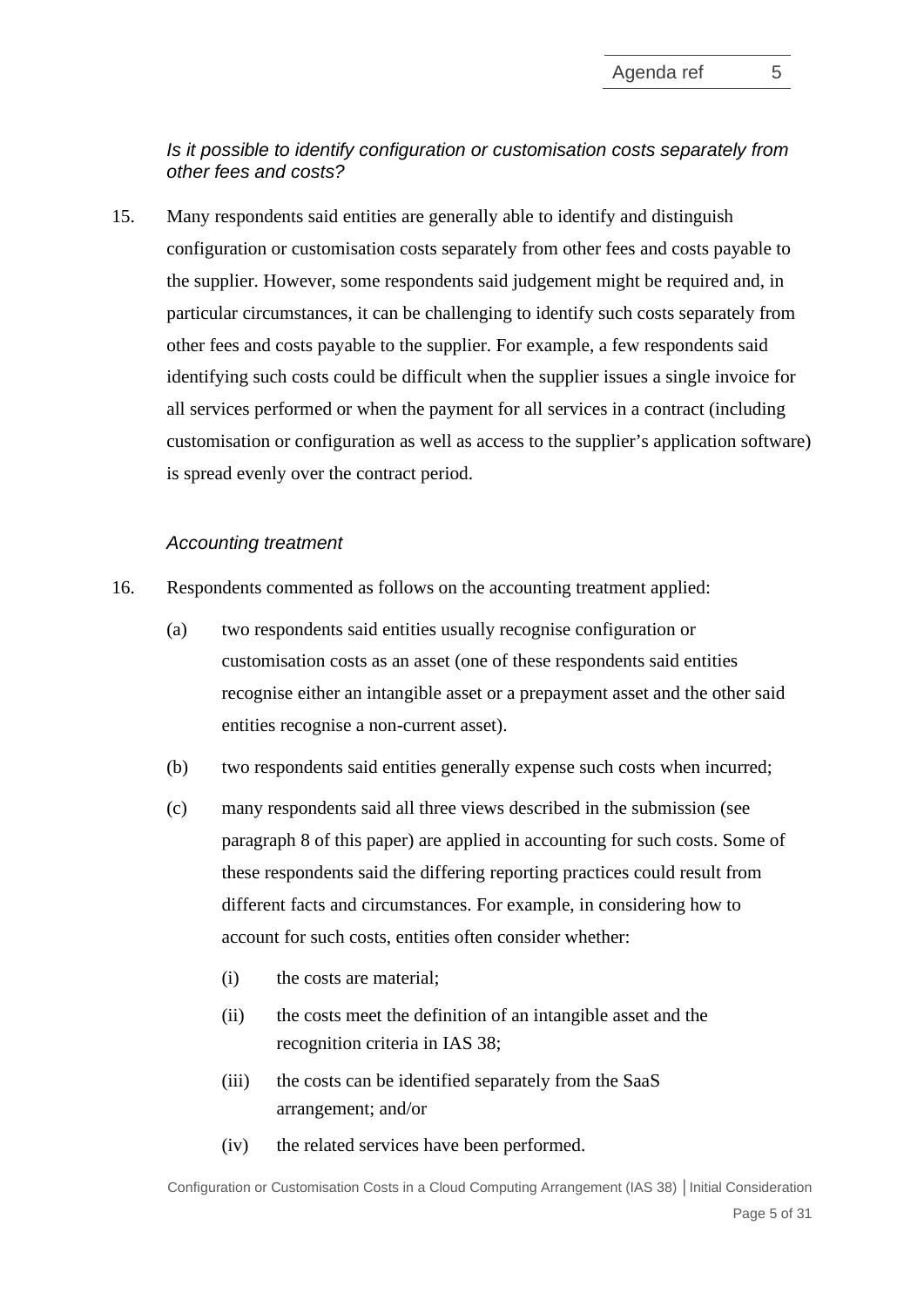# *Is it possible to identify configuration or customisation costs separately from other fees and costs?*

15. Many respondents said entities are generally able to identify and distinguish configuration or customisation costs separately from other fees and costs payable to the supplier. However, some respondents said judgement might be required and, in particular circumstances, it can be challenging to identify such costs separately from other fees and costs payable to the supplier. For example, a few respondents said identifying such costs could be difficult when the supplier issues a single invoice for all services performed or when the payment for all services in a contract (including customisation or configuration as well as access to the supplier's application software) is spread evenly over the contract period.

## *Accounting treatment*

- 16. Respondents commented as follows on the accounting treatment applied:
	- (a) two respondents said entities usually recognise configuration or customisation costs as an asset (one of these respondents said entities recognise either an intangible asset or a prepayment asset and the other said entities recognise a non-current asset).
	- (b) two respondents said entities generally expense such costs when incurred;
	- (c) many respondents said all three views described in the submission (see paragraph [8](#page-2-2) of this paper) are applied in accounting for such costs. Some of these respondents said the differing reporting practices could result from different facts and circumstances. For example, in considering how to account for such costs, entities often consider whether:
		- (i) the costs are material;
		- (ii) the costs meet the definition of an intangible asset and the recognition criteria in IAS 38;
		- (iii) the costs can be identified separately from the SaaS arrangement; and/or
		- (iv) the related services have been performed.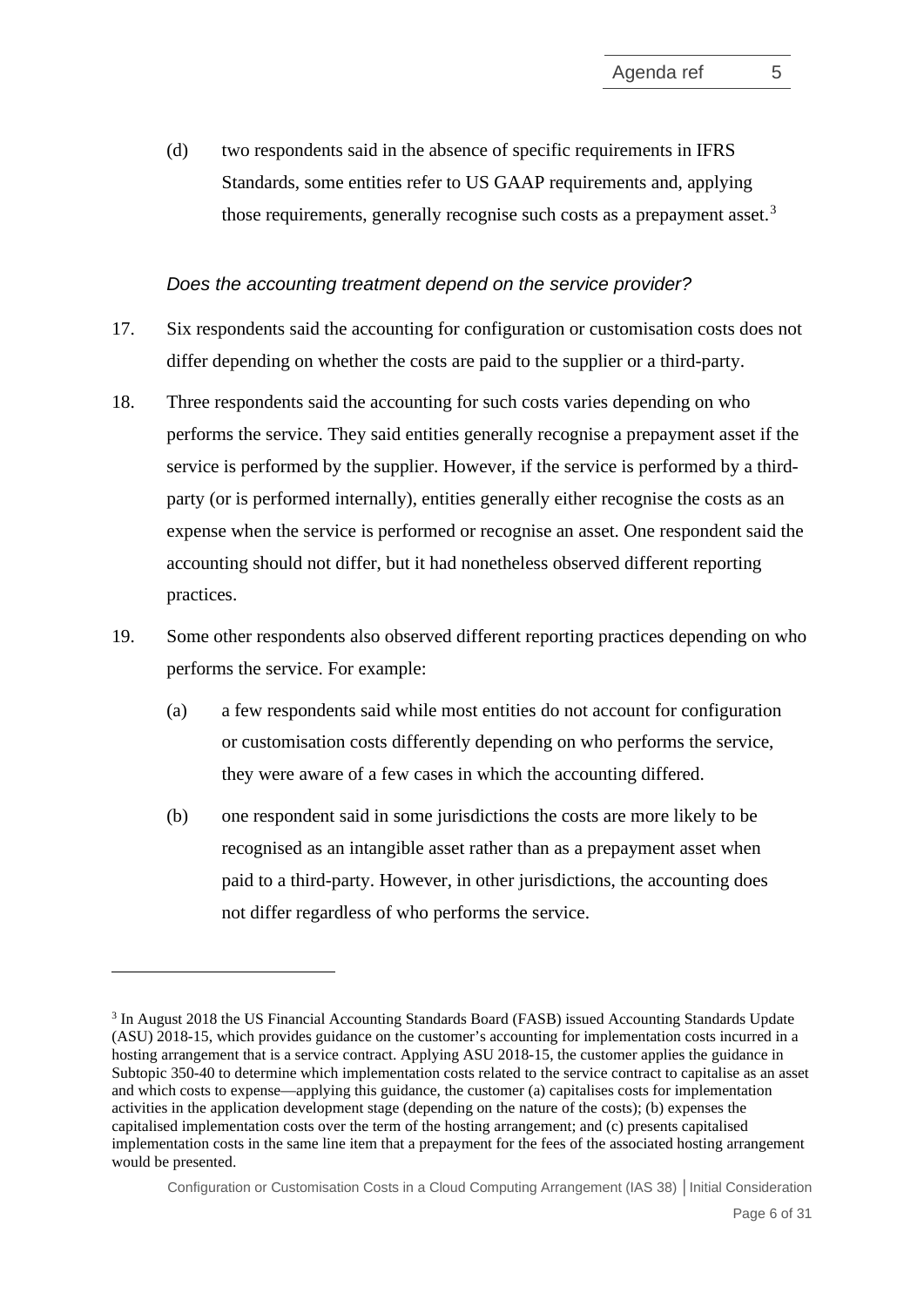<span id="page-5-1"></span>(d) two respondents said in the absence of specific requirements in IFRS Standards, some entities refer to US GAAP requirements and, applying those requirements, generally recognise such costs as a prepayment asset.<sup>[3](#page-5-0)</sup>

## *Does the accounting treatment depend on the service provider?*

- 17. Six respondents said the accounting for configuration or customisation costs does not differ depending on whether the costs are paid to the supplier or a third-party.
- 18. Three respondents said the accounting for such costs varies depending on who performs the service. They said entities generally recognise a prepayment asset if the service is performed by the supplier. However, if the service is performed by a thirdparty (or is performed internally), entities generally either recognise the costs as an expense when the service is performed or recognise an asset. One respondent said the accounting should not differ, but it had nonetheless observed different reporting practices.
- 19. Some other respondents also observed different reporting practices depending on who performs the service. For example:
	- (a) a few respondents said while most entities do not account for configuration or customisation costs differently depending on who performs the service, they were aware of a few cases in which the accounting differed.
	- (b) one respondent said in some jurisdictions the costs are more likely to be recognised as an intangible asset rather than as a prepayment asset when paid to a third-party. However, in other jurisdictions, the accounting does not differ regardless of who performs the service.

<span id="page-5-0"></span><sup>3</sup> In August 2018 the US Financial Accounting Standards Board (FASB) issued Accounting Standards Update (ASU) 2018-15, which provides guidance on the customer's accounting for implementation costs incurred in a hosting arrangement that is a service contract. Applying ASU 2018-15, the customer applies the guidance in Subtopic 350-40 to determine which implementation costs related to the service contract to capitalise as an asset and which costs to expense—applying this guidance, the customer (a) capitalises costs for implementation activities in the application development stage (depending on the nature of the costs); (b) expenses the capitalised implementation costs over the term of the hosting arrangement; and (c) presents capitalised implementation costs in the same line item that a prepayment for the fees of the associated hosting arrangement would be presented.

Configuration or Customisation Costs in a Cloud Computing Arrangement (IAS 38) **│**Initial Consideration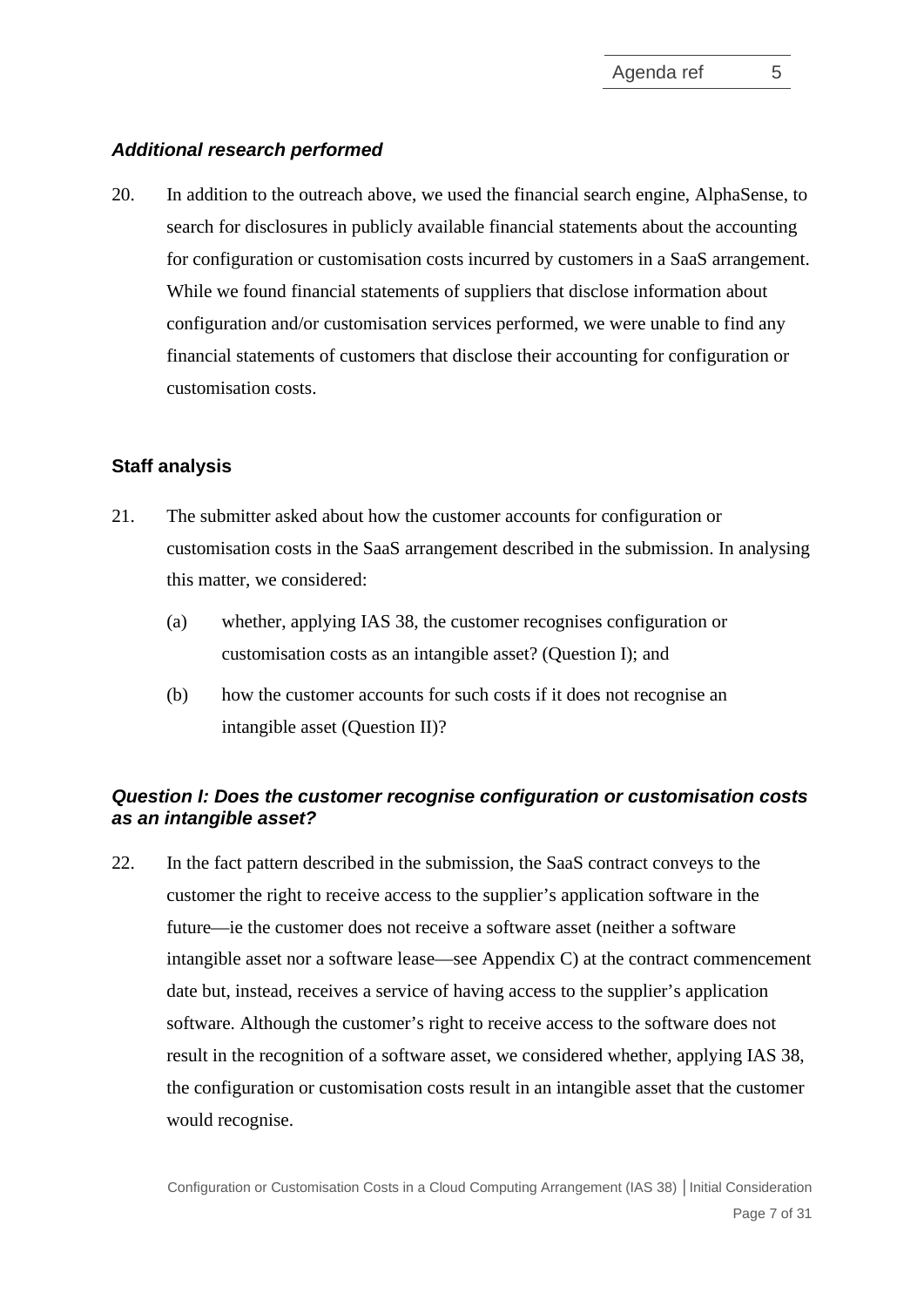## *Additional research performed*

<span id="page-6-2"></span><span id="page-6-0"></span>20. In addition to the outreach above, we used the financial search engine, AlphaSense, to search for disclosures in publicly available financial statements about the accounting for configuration or customisation costs incurred by customers in a SaaS arrangement. While we found financial statements of suppliers that disclose information about configuration and/or customisation services performed, we were unable to find any financial statements of customers that disclose their accounting for configuration or customisation costs.

## **Staff analysis**

- <span id="page-6-1"></span>21. The submitter asked about how the customer accounts for configuration or customisation costs in the SaaS arrangement described in the submission. In analysing this matter, we considered:
	- (a) whether, applying IAS 38, the customer recognises configuration or customisation costs as an intangible asset? (Question I); and
	- (b) how the customer accounts for such costs if it does not recognise an intangible asset (Question II)?

## *Question I: Does the customer recognise configuration or customisation costs as an intangible asset?*

<span id="page-6-3"></span>22. In the fact pattern described in the submission, the SaaS contract conveys to the customer the right to receive access to the supplier's application software in the future—ie the customer does not receive a software asset (neither a software intangible asset nor a software lease—see Appendix C) at the contract commencement date but, instead, receives a service of having access to the supplier's application software. Although the customer's right to receive access to the software does not result in the recognition of a software asset, we considered whether, applying IAS 38, the configuration or customisation costs result in an intangible asset that the customer would recognise.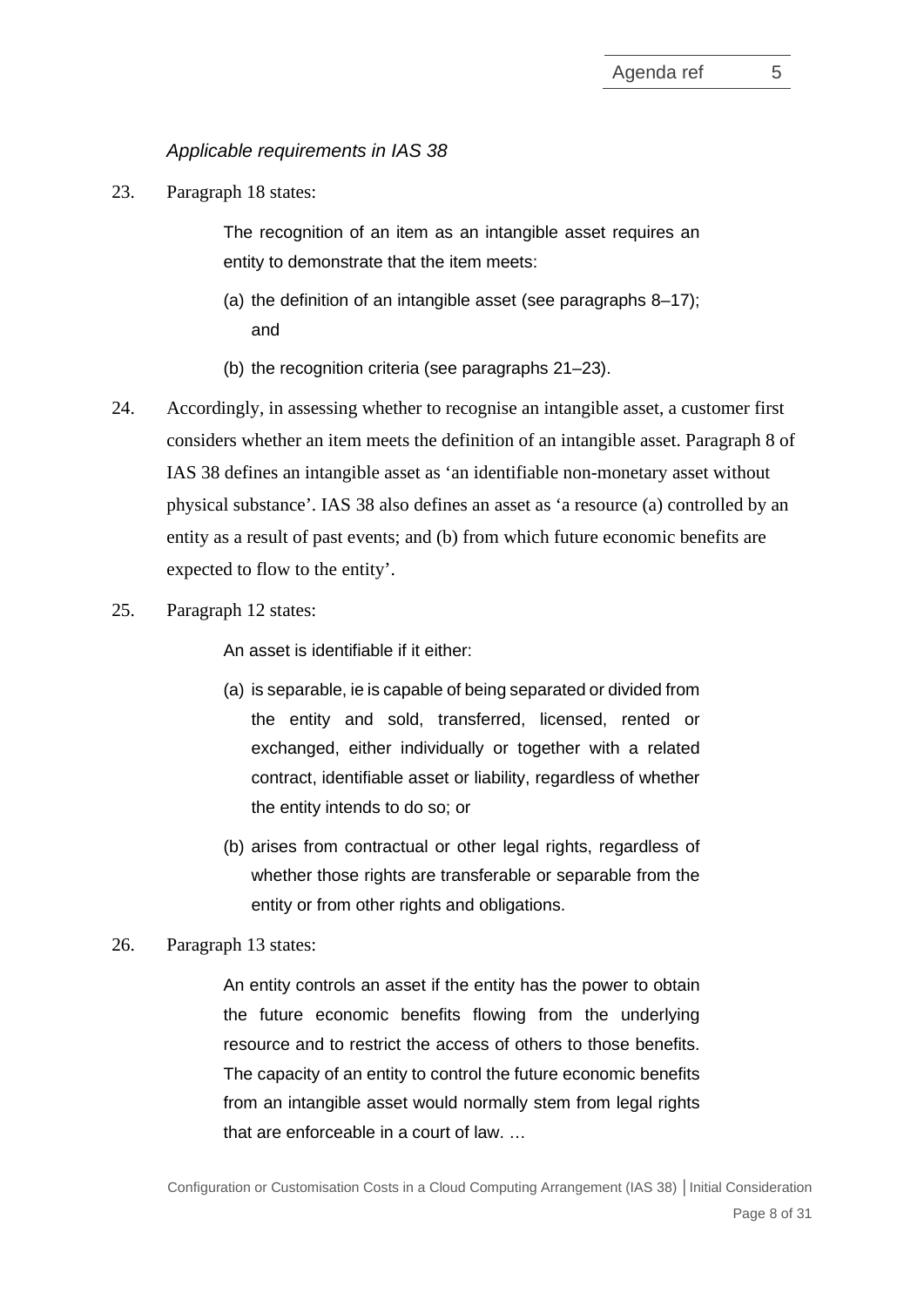# *Applicable requirements in IAS 38*

23. Paragraph 18 states:

The recognition of an item as an intangible asset requires an entity to demonstrate that the item meets:

- (a) the definition of an intangible asset (see paragraphs 8–17); and
- (b) the recognition criteria (see paragraphs 21–23).
- 24. Accordingly, in assessing whether to recognise an intangible asset, a customer first considers whether an item meets the definition of an intangible asset. Paragraph 8 of IAS 38 defines an intangible asset as 'an identifiable non-monetary asset without physical substance'. IAS 38 also defines an asset as 'a resource (a) controlled by an entity as a result of past events; and (b) from which future economic benefits are expected to flow to the entity'.
- 25. Paragraph 12 states:

An asset is identifiable if it either:

- (a) is separable, ie is capable of being separated or divided from the entity and sold, transferred, licensed, rented or exchanged, either individually or together with a related contract, identifiable asset or liability, regardless of whether the entity intends to do so; or
- (b) arises from contractual or other legal rights, regardless of whether those rights are transferable or separable from the entity or from other rights and obligations.
- 26. Paragraph 13 states:

An entity controls an asset if the entity has the power to obtain the future economic benefits flowing from the underlying resource and to restrict the access of others to those benefits. The capacity of an entity to control the future economic benefits from an intangible asset would normally stem from legal rights that are enforceable in a court of law. …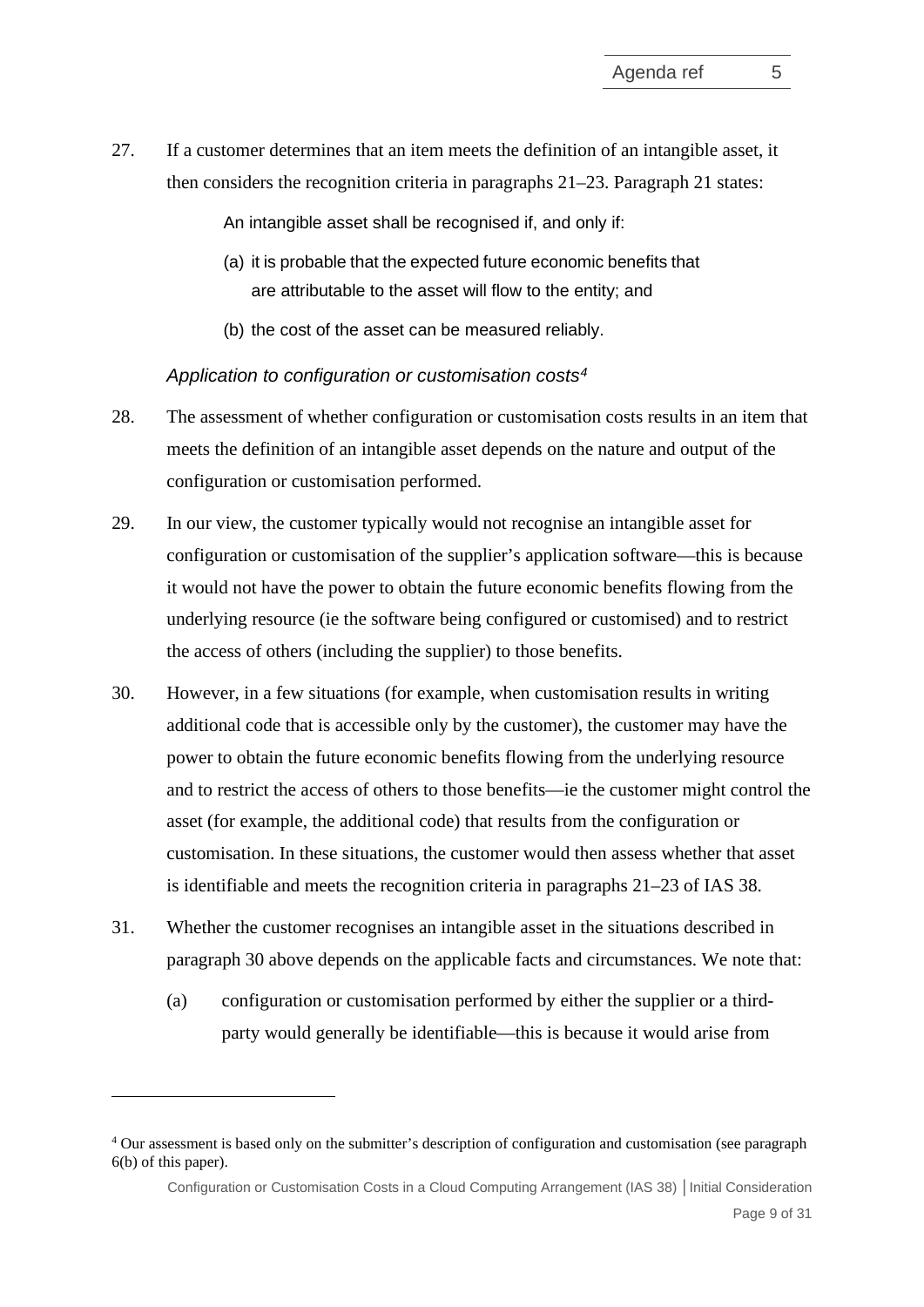27. If a customer determines that an item meets the definition of an intangible asset, it then considers the recognition criteria in paragraphs 21–23. Paragraph 21 states:

An intangible asset shall be recognised if, and only if:

- (a) it is probable that the expected future economic benefits that are attributable to the asset will flow to the entity; and
- (b) the cost of the asset can be measured reliably.

### *Application to configuration or customisation costs[4](#page-8-1)*

- 28. The assessment of whether configuration or customisation costs results in an item that meets the definition of an intangible asset depends on the nature and output of the configuration or customisation performed.
- <span id="page-8-2"></span>29. In our view, the customer typically would not recognise an intangible asset for configuration or customisation of the supplier's application software—this is because it would not have the power to obtain the future economic benefits flowing from the underlying resource (ie the software being configured or customised) and to restrict the access of others (including the supplier) to those benefits.
- <span id="page-8-0"></span>30. However, in a few situations (for example, when customisation results in writing additional code that is accessible only by the customer), the customer may have the power to obtain the future economic benefits flowing from the underlying resource and to restrict the access of others to those benefits—ie the customer might control the asset (for example, the additional code) that results from the configuration or customisation. In these situations, the customer would then assess whether that asset is identifiable and meets the recognition criteria in paragraphs 21–23 of IAS 38.
- 31. Whether the customer recognises an intangible asset in the situations described in paragraph [30](#page-8-0) above depends on the applicable facts and circumstances. We note that:
	- (a) configuration or customisation performed by either the supplier or a thirdparty would generally be identifiable—this is because it would arise from

Configuration or Customisation Costs in a Cloud Computing Arrangement (IAS 38) **│**Initial Consideration

<span id="page-8-1"></span><sup>4</sup> Our assessment is based only on the submitter's description of configuration and customisation (see paragraph [6\(b\)](#page-1-3) of this paper).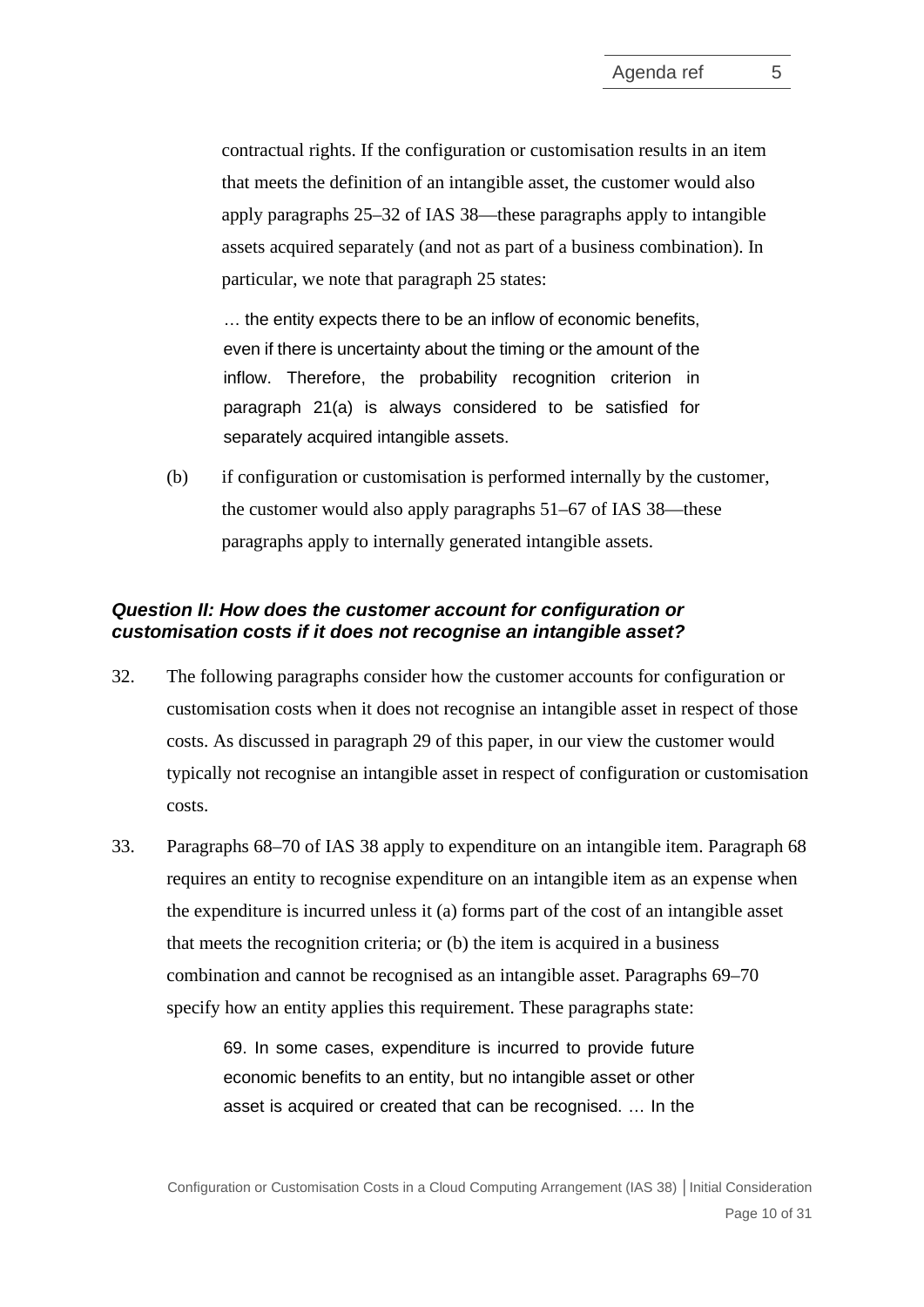contractual rights. If the configuration or customisation results in an item that meets the definition of an intangible asset, the customer would also apply paragraphs 25–32 of IAS 38—these paragraphs apply to intangible assets acquired separately (and not as part of a business combination). In particular, we note that paragraph 25 states:

… the entity expects there to be an inflow of economic benefits, even if there is uncertainty about the timing or the amount of the inflow. Therefore, the probability recognition criterion in paragraph 21(a) is always considered to be satisfied for separately acquired intangible assets.

(b) if configuration or customisation is performed internally by the customer, the customer would also apply paragraphs 51–67 of IAS 38—these paragraphs apply to internally generated intangible assets.

## *Question II: How does the customer account for configuration or customisation costs if it does not recognise an intangible asset?*

- 32. The following paragraphs consider how the customer accounts for configuration or customisation costs when it does not recognise an intangible asset in respect of those costs. As discussed in paragraph [29](#page-8-2) of this paper, in our view the customer would typically not recognise an intangible asset in respect of configuration or customisation costs.
- 33. Paragraphs 68–70 of IAS 38 apply to expenditure on an intangible item. Paragraph 68 requires an entity to recognise expenditure on an intangible item as an expense when the expenditure is incurred unless it (a) forms part of the cost of an intangible asset that meets the recognition criteria; or (b) the item is acquired in a business combination and cannot be recognised as an intangible asset. Paragraphs 69–70 specify how an entity applies this requirement. These paragraphs state:

69. In some cases, expenditure is incurred to provide future economic benefits to an entity, but no [intangible asset](https://eifrs.ifrs.org/eifrs/ViewContent?collection=2020_Annotated_Issued_Standards&fn=IAS38_TI0002.html&scrollTo=IAS38_8__IAS38_P0070) or other asset is acquired or created that can be recognised. … In the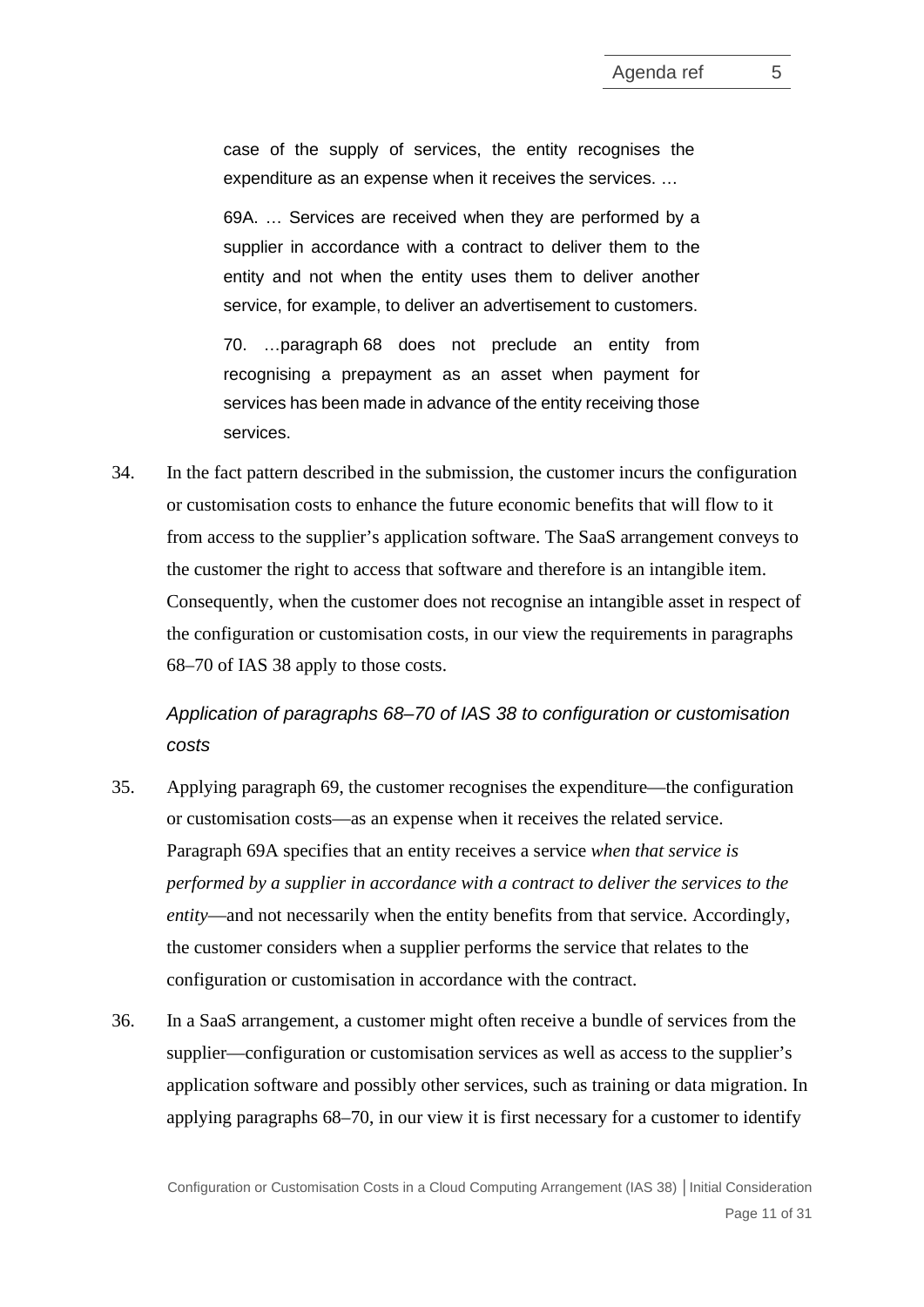case of the supply of services, the entity recognises the expenditure as an expense when it receives the services. …

69A. … Services are received when they are performed by a supplier in accordance with a contract to deliver them to the entity and not when the entity uses them to deliver another service, for example, to deliver an advertisement to customers.

70. […paragraph](https://eifrs.ifrs.org/eifrs/ViewContent?collection=2020_Annotated_Issued_Standards&fn=IAS38_TI0002.html&scrollTo=IAS38_g68-71__IAS38_g68-71_TI) 68 does not preclude an entity from recognising a prepayment as an asset when payment for services has been made in advance of the entity receiving those services.

34. In the fact pattern described in the submission, the customer incurs the configuration or customisation costs to enhance the future economic benefits that will flow to it from access to the supplier's application software. The SaaS arrangement conveys to the customer the right to access that software and therefore is an intangible item. Consequently, when the customer does not recognise an intangible asset in respect of the configuration or customisation costs, in our view the requirements in paragraphs 68–70 of IAS 38 apply to those costs.

*Application of paragraphs 68–70 of IAS 38 to configuration or customisation costs*

- <span id="page-10-0"></span>35. Applying paragraph 69, the customer recognises the expenditure—the configuration or customisation costs—as an expense when it receives the related service. Paragraph 69A specifies that an entity receives a service *when that service is performed by a supplier in accordance with a contract to deliver the services to the entity*—and not necessarily when the entity benefits from that service. Accordingly, the customer considers when a supplier performs the service that relates to the configuration or customisation in accordance with the contract.
- 36. In a SaaS arrangement, a customer might often receive a bundle of services from the supplier—configuration or customisation services as well as access to the supplier's application software and possibly other services, such as training or data migration. In applying paragraphs 68–70, in our view it is first necessary for a customer to identify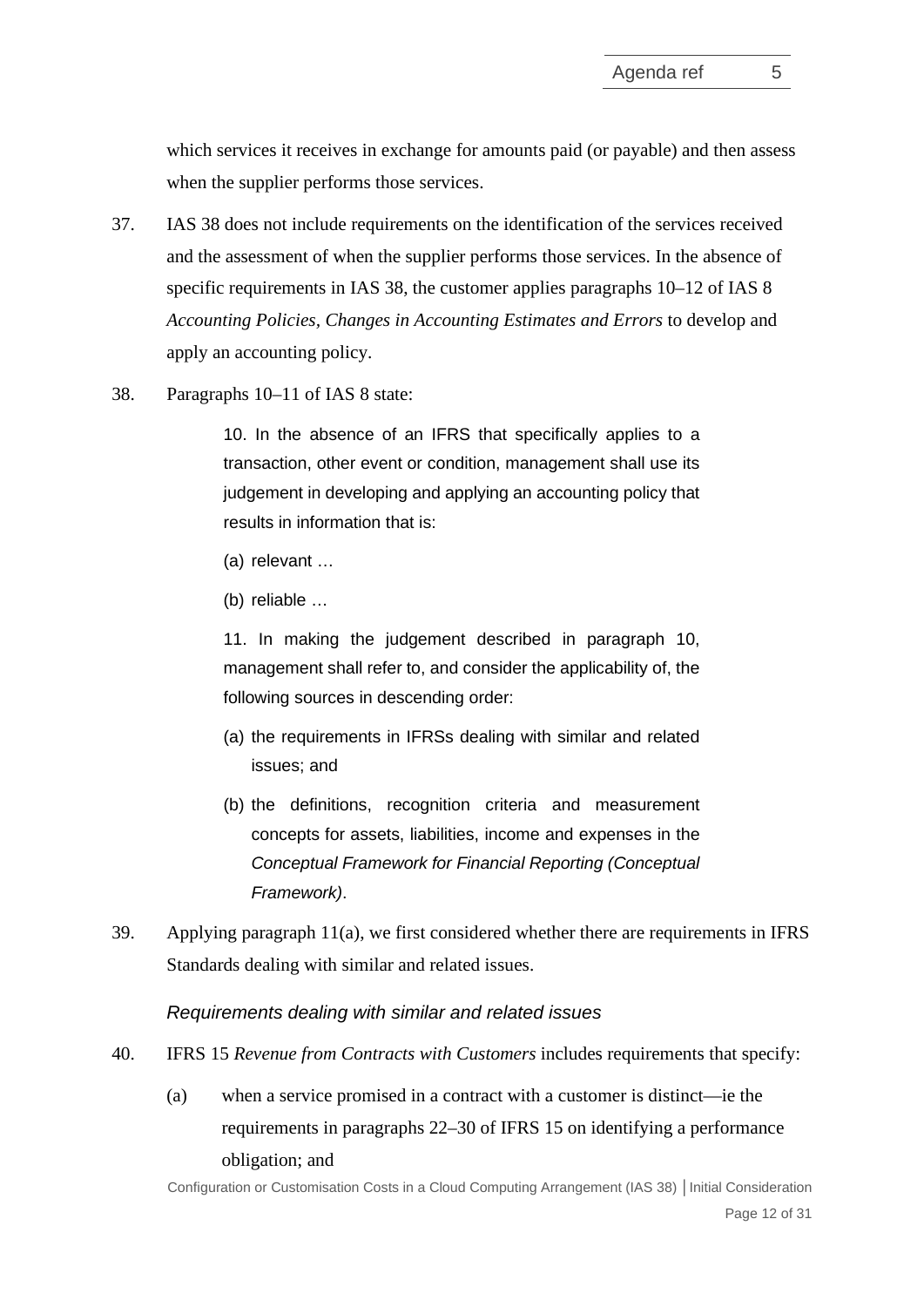which services it receives in exchange for amounts paid (or payable) and then assess when the supplier performs those services.

- 37. IAS 38 does not include requirements on the identification of the services received and the assessment of when the supplier performs those services. In the absence of specific requirements in IAS 38, the customer applies paragraphs 10–12 of IAS 8 *Accounting Policies, Changes in Accounting Estimates and Errors* to develop and apply an accounting policy.
- 38. Paragraphs 10–11 of IAS 8 state:

10. In the absence of an IFRS that specifically applies to a transaction, other event or condition, management shall use its judgement in developing and applying an accounting policy that results in information that is:

- (a) relevant …
- (b) reliable …

11. In making the judgement described in paragraph 10, management shall refer to, and consider the applicability of, the following sources in descending order:

- (a) the requirements in IFRSs dealing with similar and related issues; and
- (b) the definitions, recognition criteria and measurement concepts for assets, liabilities, income and expenses in the *Conceptual Framework for Financial Reporting (Conceptual Framework)*.
- 39. Applying paragraph 11(a), we first considered whether there are requirements in IFRS Standards dealing with similar and related issues.

*Requirements dealing with similar and related issues*

- <span id="page-11-0"></span>40. IFRS 15 *Revenue from Contracts with Customers* includes requirements that specify:
	- (a) when a service promised in a contract with a customer is distinct—ie the requirements in paragraphs 22–30 of IFRS 15 on identifying a performance obligation; and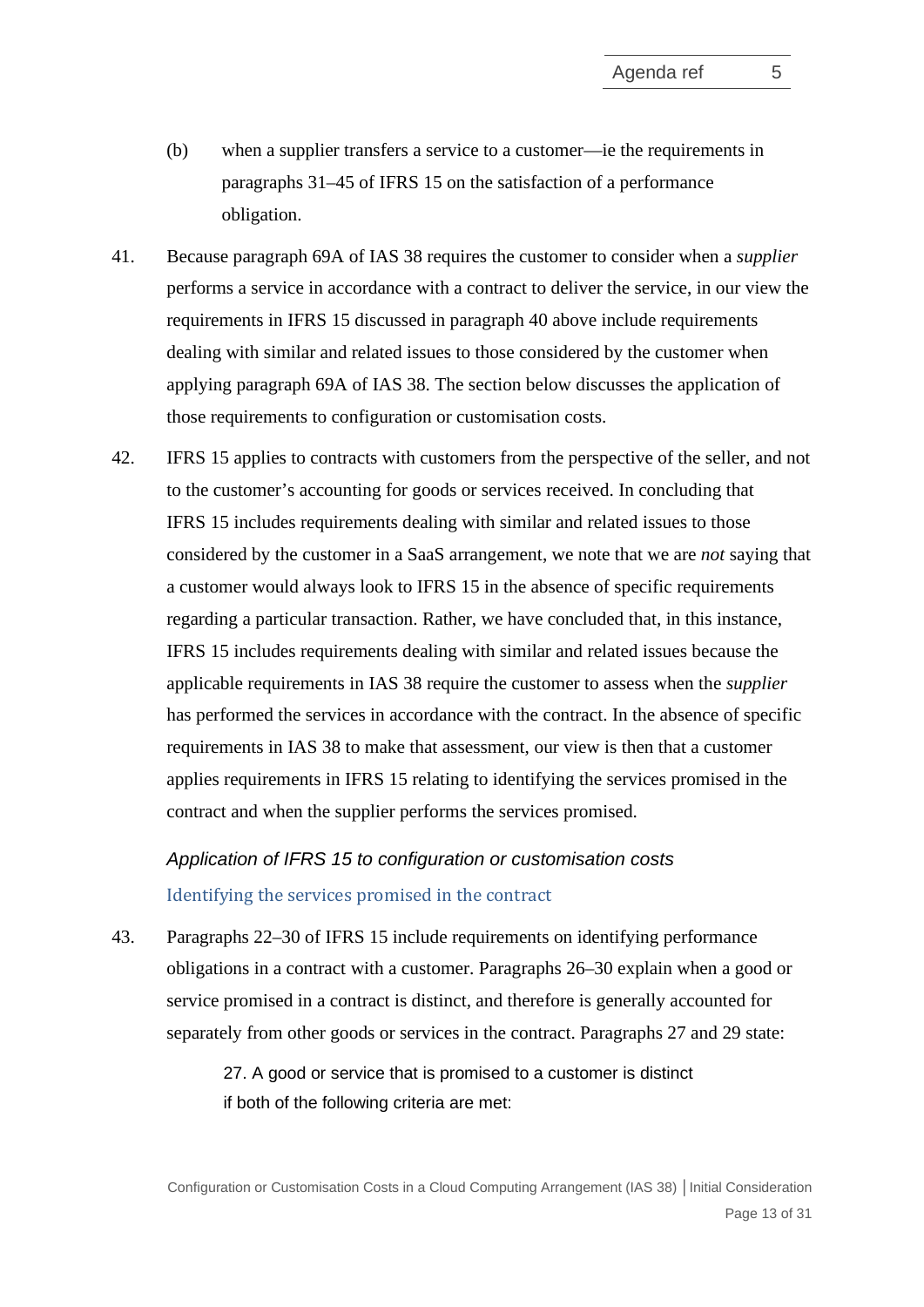- (b) when a supplier transfers a service to a customer—ie the requirements in paragraphs 31–45 of IFRS 15 on the satisfaction of a performance obligation.
- 41. Because paragraph 69A of IAS 38 requires the customer to consider when a *supplier* performs a service in accordance with a contract to deliver the service, in our view the requirements in IFRS 15 discussed in paragraph [40](#page-11-0) above include requirements dealing with similar and related issues to those considered by the customer when applying paragraph 69A of IAS 38. The section below discusses the application of those requirements to configuration or customisation costs.
- 42. IFRS 15 applies to contracts with customers from the perspective of the seller, and not to the customer's accounting for goods or services received. In concluding that IFRS 15 includes requirements dealing with similar and related issues to those considered by the customer in a SaaS arrangement, we note that we are *not* saying that a customer would always look to IFRS 15 in the absence of specific requirements regarding a particular transaction. Rather, we have concluded that, in this instance, IFRS 15 includes requirements dealing with similar and related issues because the applicable requirements in IAS 38 require the customer to assess when the *supplier* has performed the services in accordance with the contract. In the absence of specific requirements in IAS 38 to make that assessment, our view is then that a customer applies requirements in IFRS 15 relating to identifying the services promised in the contract and when the supplier performs the services promised.

*Application of IFRS 15 to configuration or customisation costs* Identifying the services promised in the contract

43. Paragraphs 22–30 of IFRS 15 include requirements on identifying performance obligations in a contract with a customer. Paragraphs 26–30 explain when a good or service promised in a contract is distinct, and therefore is generally accounted for separately from other goods or services in the contract. Paragraphs 27 and 29 state:

> 27. A good or service that is promised to a customer is distinct if both of the following criteria are met: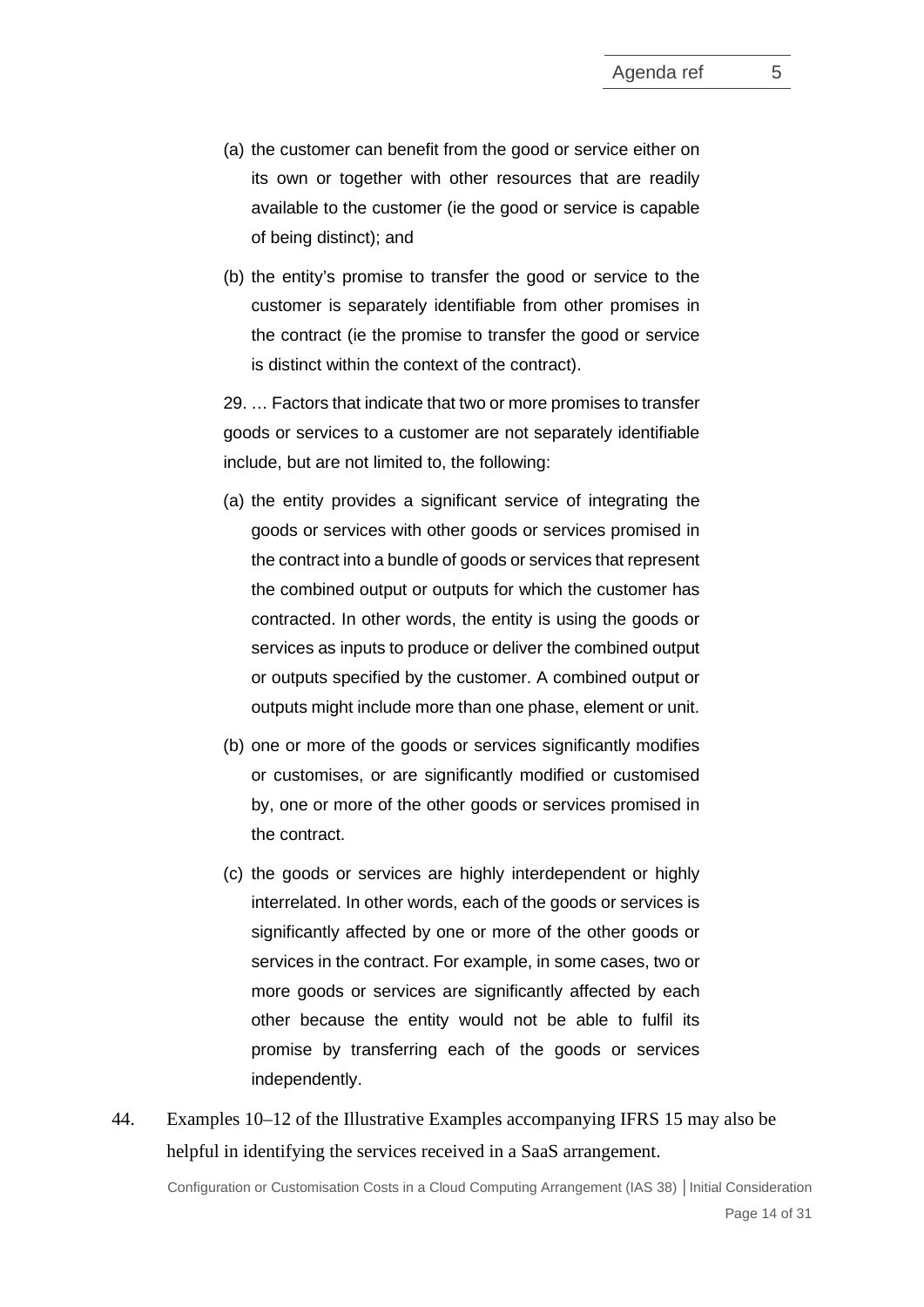- (a) the customer can benefit from the good or service either on its own or together with other resources that are readily available to the customer (ie the good or service is capable of being distinct); and
- (b) the entity's promise to transfer the good or service to the customer is separately identifiable from other promises in the contract (ie the promise to transfer the good or service is distinct within the context of the contract).

29. … Factors that indicate that two or more promises to transfer goods or services to a customer are not separately identifiable include, but are not limited to, the following:

- (a) the entity provides a significant service of integrating the goods or services with other goods or services promised in the contract into a bundle of goods or services that represent the combined output or outputs for which the customer has contracted. In other words, the entity is using the goods or services as inputs to produce or deliver the combined output or outputs specified by the customer. A combined output or outputs might include more than one phase, element or unit.
- (b) one or more of the goods or services significantly modifies or customises, or are significantly modified or customised by, one or more of the other goods or services promised in the contract.
- (c) the goods or services are highly interdependent or highly interrelated. In other words, each of the goods or services is significantly affected by one or more of the other goods or services in the contract. For example, in some cases, two or more goods or services are significantly affected by each other because the entity would not be able to fulfil its promise by transferring each of the goods or services independently.
- 44. Examples 10–12 of the Illustrative Examples accompanying IFRS 15 may also be helpful in identifying the services received in a SaaS arrangement.

Configuration or Customisation Costs in a Cloud Computing Arrangement (IAS 38) **│**Initial Consideration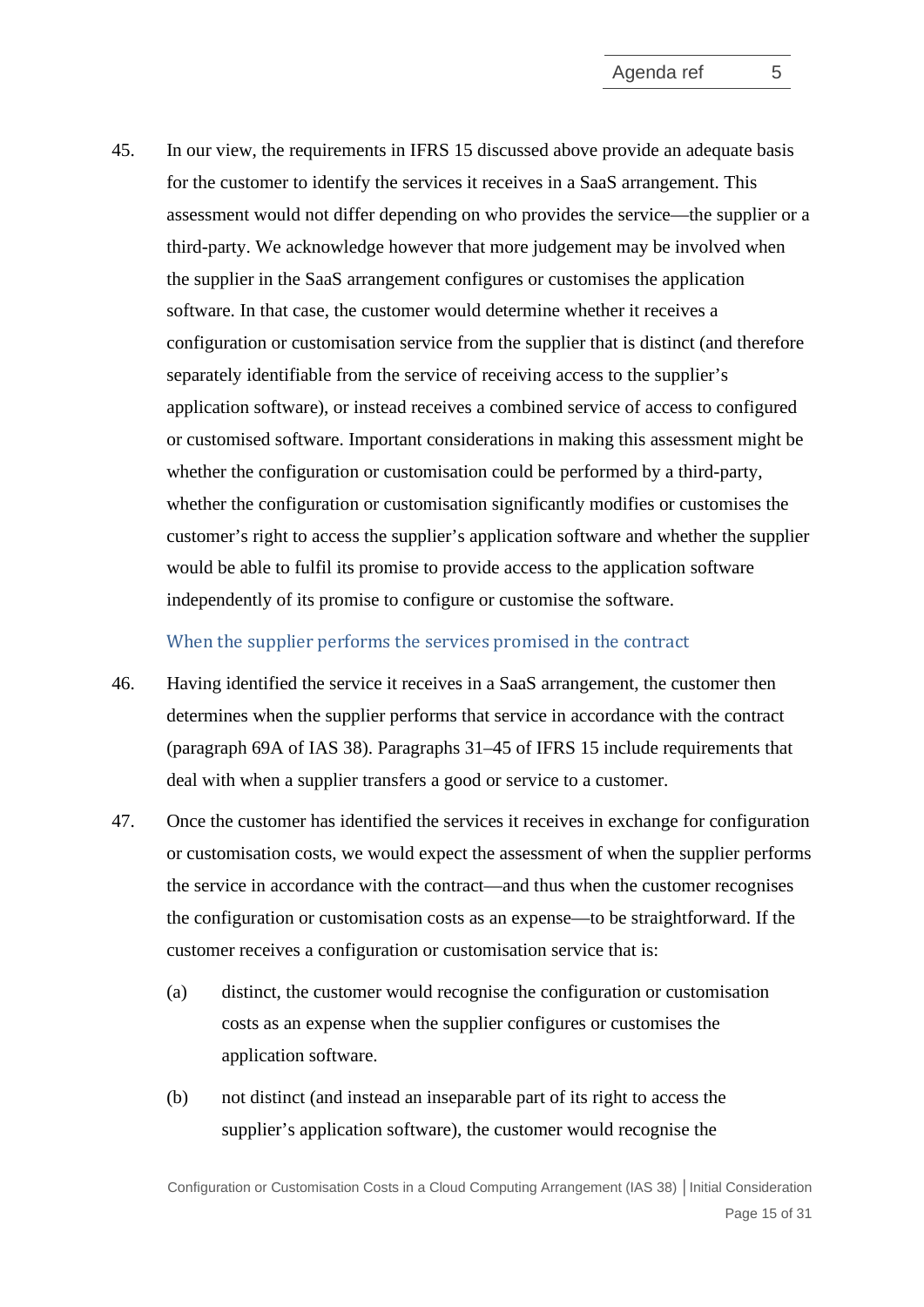45. In our view, the requirements in IFRS 15 discussed above provide an adequate basis for the customer to identify the services it receives in a SaaS arrangement. This assessment would not differ depending on who provides the service—the supplier or a third-party. We acknowledge however that more judgement may be involved when the supplier in the SaaS arrangement configures or customises the application software. In that case, the customer would determine whether it receives a configuration or customisation service from the supplier that is distinct (and therefore separately identifiable from the service of receiving access to the supplier's application software), or instead receives a combined service of access to configured or customised software. Important considerations in making this assessment might be whether the configuration or customisation could be performed by a third-party, whether the configuration or customisation significantly modifies or customises the customer's right to access the supplier's application software and whether the supplier would be able to fulfil its promise to provide access to the application software independently of its promise to configure or customise the software.

## When the supplier performs the services promised in the contract

- 46. Having identified the service it receives in a SaaS arrangement, the customer then determines when the supplier performs that service in accordance with the contract (paragraph 69A of IAS 38). Paragraphs 31–45 of IFRS 15 include requirements that deal with when a supplier transfers a good or service to a customer.
- 47. Once the customer has identified the services it receives in exchange for configuration or customisation costs, we would expect the assessment of when the supplier performs the service in accordance with the contract—and thus when the customer recognises the configuration or customisation costs as an expense—to be straightforward. If the customer receives a configuration or customisation service that is:
	- (a) distinct, the customer would recognise the configuration or customisation costs as an expense when the supplier configures or customises the application software.
	- (b) not distinct (and instead an inseparable part of its right to access the supplier's application software), the customer would recognise the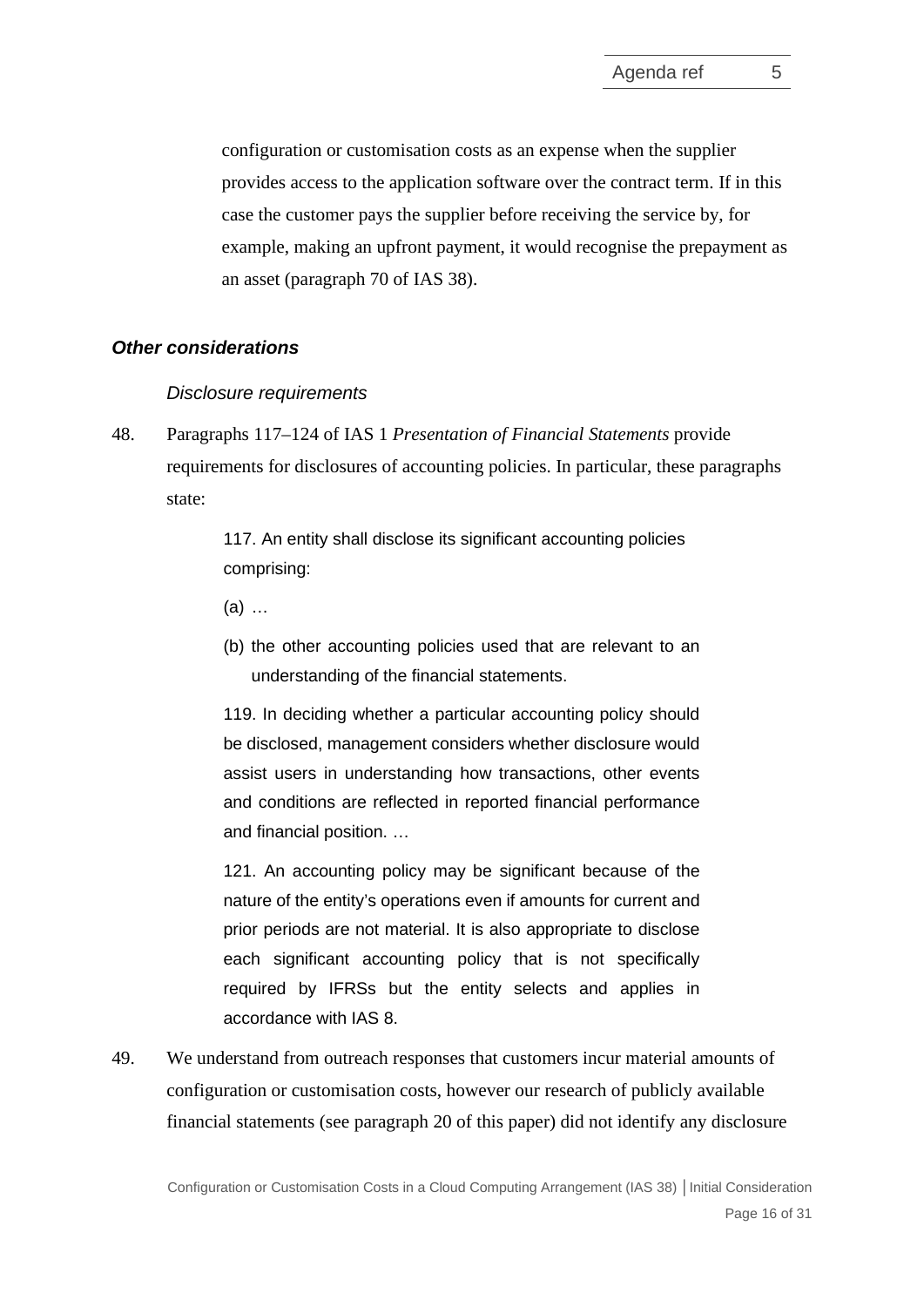configuration or customisation costs as an expense when the supplier provides access to the application software over the contract term. If in this case the customer pays the supplier before receiving the service by, for example, making an upfront payment, it would recognise the prepayment as an asset (paragraph 70 of IAS 38).

# *Other considerations*

#### *Disclosure requirements*

48. Paragraphs 117–124 of IAS 1 *Presentation of Financial Statements* provide requirements for disclosures of accounting policies. In particular, these paragraphs state:

> 117. An entity shall disclose its significant accounting policies comprising:

- (a) …
- (b) the other accounting policies used that are relevant to an understanding of the financial statements.

119. In deciding whether a particular accounting policy should be disclosed, management considers whether disclosure would assist users in understanding how transactions, other events and conditions are reflected in reported financial performance and financial position. …

121. An accounting policy may be significant because of the nature of the entity's operations even if amounts for current and prior periods are not material. It is also appropriate to disclose each significant accounting policy that is not specifically required by IFRSs but the entity selects and applies in accordance with IAS 8.

49. We understand from outreach responses that customers incur material amounts of configuration or customisation costs, however our research of publicly available financial statements (see paragraph [20](#page-6-2) of this paper) did not identify any disclosure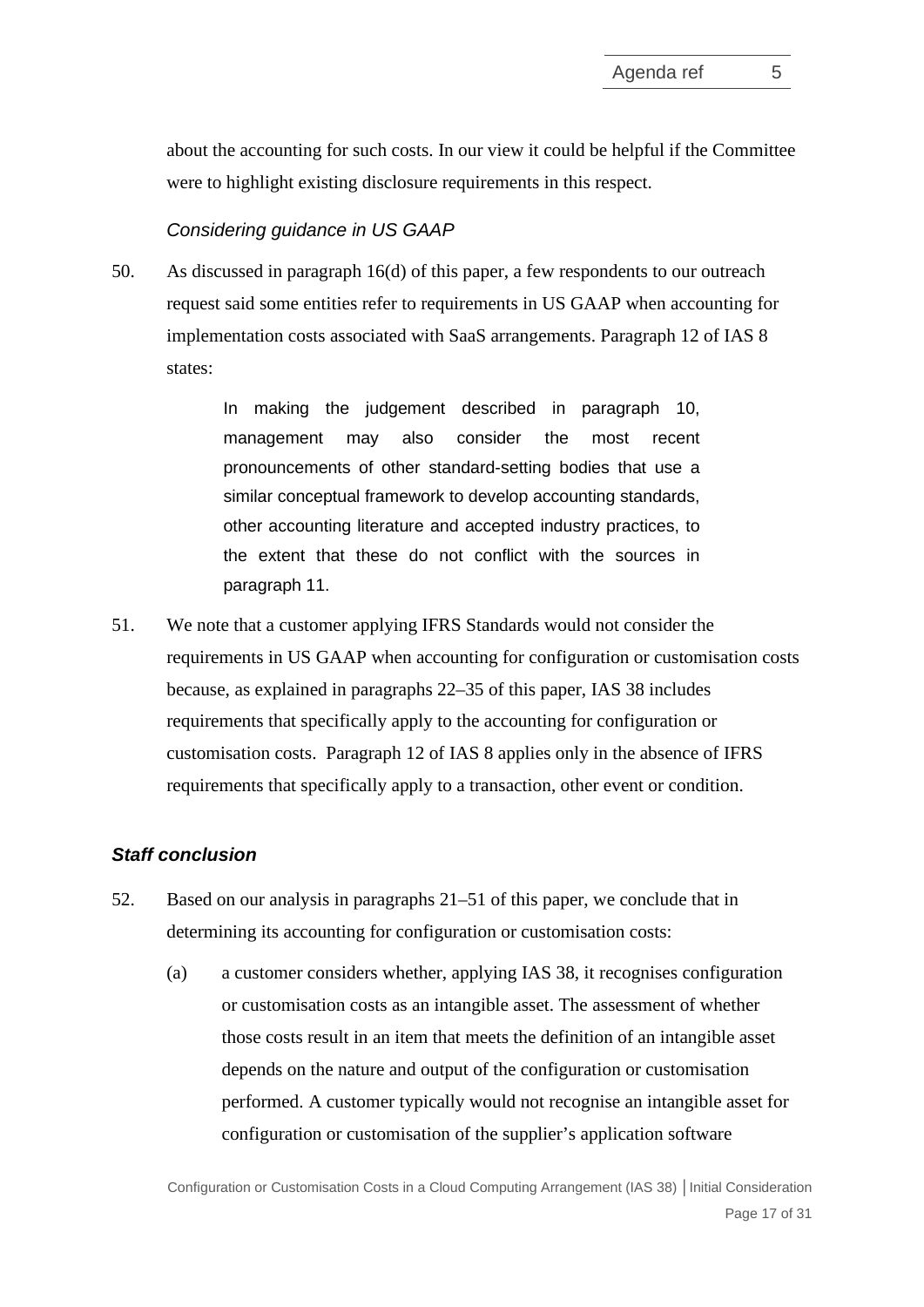about the accounting for such costs. In our view it could be helpful if the Committee were to highlight existing disclosure requirements in this respect.

## *Considering guidance in US GAAP*

50. As discussed in paragraph [16\(d\)](#page-5-1) of this paper, a few respondents to our outreach request said some entities refer to requirements in US GAAP when accounting for implementation costs associated with SaaS arrangements. Paragraph 12 of IAS 8 states:

> In making the judgement described in paragraph 10, management may also consider the most recent pronouncements of other standard-setting bodies that use a similar conceptual framework to develop accounting standards, other accounting literature and accepted industry practices, to the extent that these do not conflict with the sources in paragraph 11.

<span id="page-16-0"></span>51. We note that a customer applying IFRS Standards would not consider the requirements in US GAAP when accounting for configuration or customisation costs because, as explained in paragraphs [22–](#page-6-3)[35](#page-10-0) of this paper, IAS 38 includes requirements that specifically apply to the accounting for configuration or customisation costs. Paragraph 12 of IAS 8 applies only in the absence of IFRS requirements that specifically apply to a transaction, other event or condition.

## *Staff conclusion*

- <span id="page-16-1"></span>52. Based on our analysis in paragraphs [21–](#page-6-1)[51](#page-16-0) of this paper, we conclude that in determining its accounting for configuration or customisation costs:
	- (a) a customer considers whether, applying IAS 38, it recognises configuration or customisation costs as an intangible asset. The assessment of whether those costs result in an item that meets the definition of an intangible asset depends on the nature and output of the configuration or customisation performed. A customer typically would not recognise an intangible asset for configuration or customisation of the supplier's application software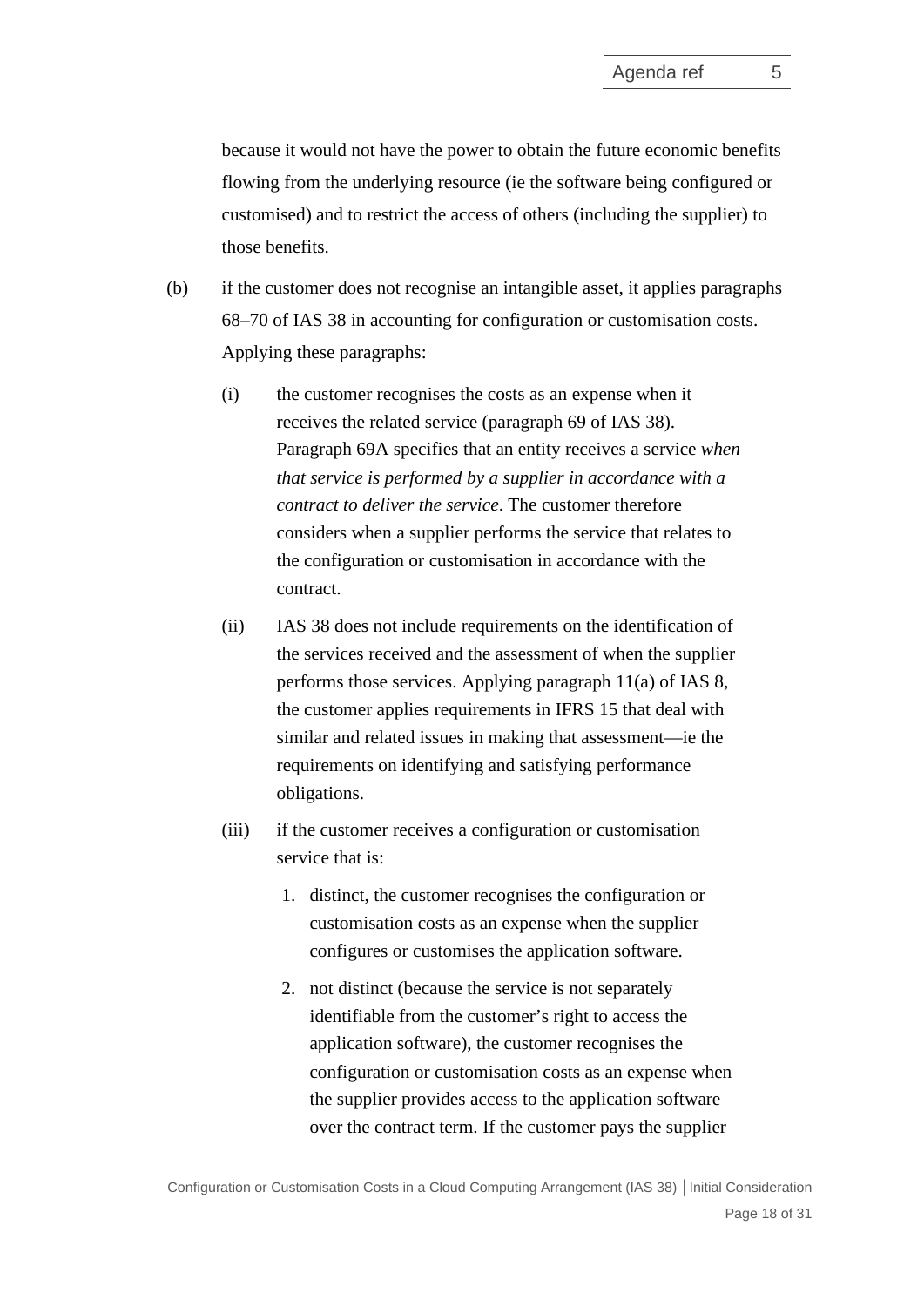because it would not have the power to obtain the future economic benefits flowing from the underlying resource (ie the software being configured or customised) and to restrict the access of others (including the supplier) to those benefits.

- (b) if the customer does not recognise an intangible asset, it applies paragraphs 68–70 of IAS 38 in accounting for configuration or customisation costs. Applying these paragraphs:
	- (i) the customer recognises the costs as an expense when it receives the related service (paragraph 69 of IAS 38). Paragraph 69A specifies that an entity receives a service *when that service is performed by a supplier in accordance with a contract to deliver the service*. The customer therefore considers when a supplier performs the service that relates to the configuration or customisation in accordance with the contract.
	- (ii) IAS 38 does not include requirements on the identification of the services received and the assessment of when the supplier performs those services. Applying paragraph 11(a) of IAS 8, the customer applies requirements in IFRS 15 that deal with similar and related issues in making that assessment—ie the requirements on identifying and satisfying performance obligations.
	- (iii) if the customer receives a configuration or customisation service that is:
		- 1. distinct, the customer recognises the configuration or customisation costs as an expense when the supplier configures or customises the application software.
		- 2. not distinct (because the service is not separately identifiable from the customer's right to access the application software), the customer recognises the configuration or customisation costs as an expense when the supplier provides access to the application software over the contract term. If the customer pays the supplier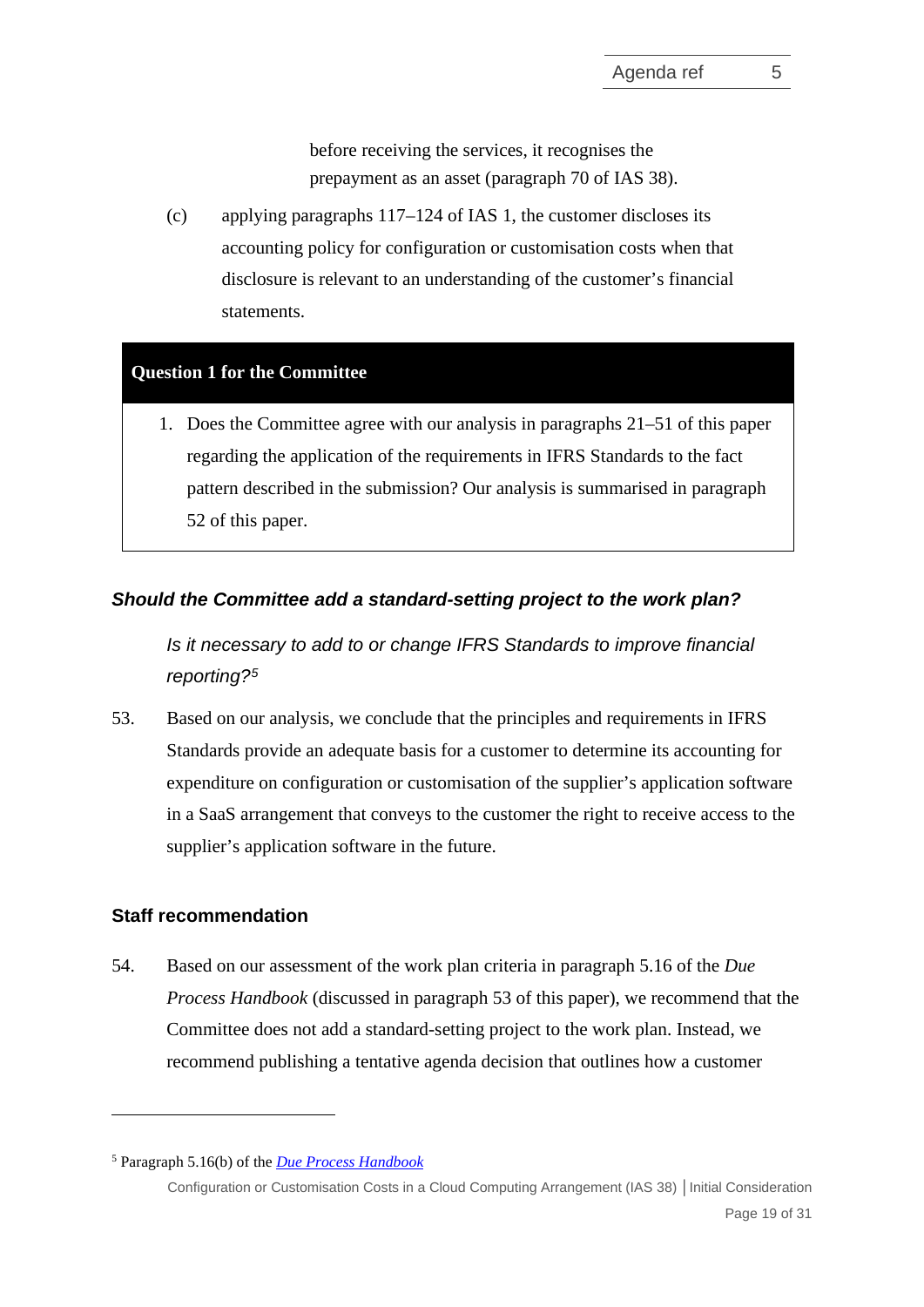before receiving the services, it recognises the prepayment as an asset (paragraph 70 of IAS 38).

(c) applying paragraphs 117–124 of IAS 1, the customer discloses its accounting policy for configuration or customisation costs when that disclosure is relevant to an understanding of the customer's financial statements.

# **Question 1 for the Committee**

1. Does the Committee agree with our analysis in paragraphs [21–](#page-6-1)[51](#page-16-0) of this paper regarding the application of the requirements in IFRS Standards to the fact pattern described in the submission? Our analysis is summarised in paragraph [52](#page-16-1) of this paper.

# *Should the Committee add a standard-setting project to the work plan?*

*Is it necessary to add to or change IFRS Standards to improve financial reporting?[5](#page-18-2)*

<span id="page-18-0"></span>53. Based on our analysis, we conclude that the principles and requirements in IFRS Standards provide an adequate basis for a customer to determine its accounting for expenditure on configuration or customisation of the supplier's application software in a SaaS arrangement that conveys to the customer the right to receive access to the supplier's application software in the future.

# **Staff recommendation**

<span id="page-18-1"></span>54. Based on our assessment of the work plan criteria in paragraph 5.16 of the *Due Process Handbook* (discussed in paragraph [53](#page-18-0) of this paper), we recommend that the Committee does not add a standard-setting project to the work plan. Instead, we recommend publishing a tentative agenda decision that outlines how a customer

<span id="page-18-2"></span><sup>5</sup> Paragraph 5.16(b) of the *[Due Process Handbook](https://cdn.ifrs.org/-/media/feature/about-us/legal-and-governance/constitution-docs/due-process-handbook-2020.pdf?la=en)*

Configuration or Customisation Costs in a Cloud Computing Arrangement (IAS 38) **│**Initial Consideration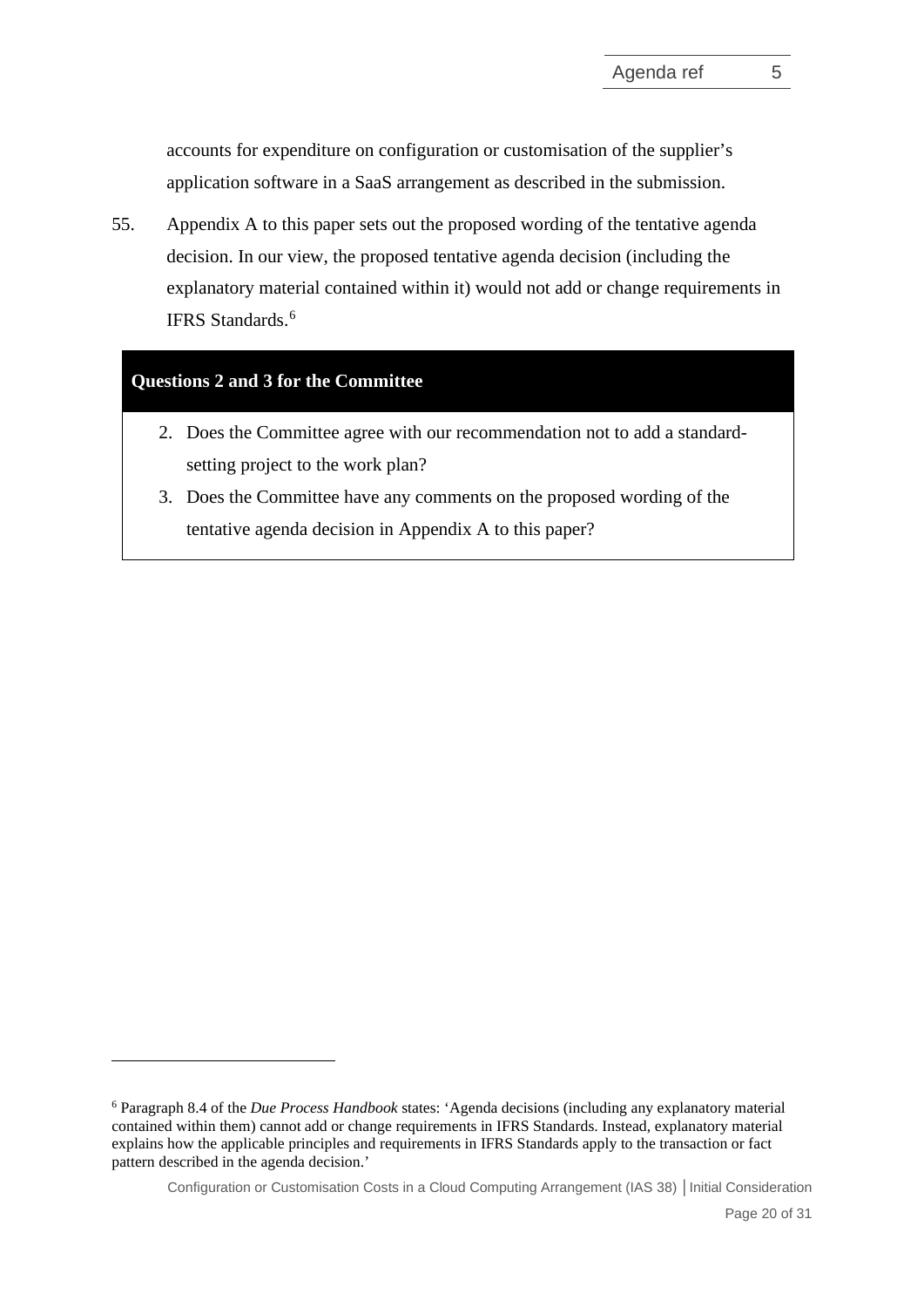accounts for expenditure on configuration or customisation of the supplier's application software in a SaaS arrangement as described in the submission.

<span id="page-19-0"></span>55. Appendix A to this paper sets out the proposed wording of the tentative agenda decision. In our view, the proposed tentative agenda decision (including the explanatory material contained within it) would not add or change requirements in IFRS Standards. [6](#page-19-1)

# **Questions 2 and 3 for the Committee**

- 2. Does the Committee agree with our recommendation not to add a standardsetting project to the work plan?
- 3. Does the Committee have any comments on the proposed wording of the tentative agenda decision in Appendix A to this paper?

<span id="page-19-1"></span><sup>6</sup> Paragraph 8.4 of the *Due Process Handbook* states: 'Agenda decisions (including any explanatory material contained within them) cannot add or change requirements in IFRS Standards. Instead, explanatory material explains how the applicable principles and requirements in IFRS Standards apply to the transaction or fact pattern described in the agenda decision.'

Configuration or Customisation Costs in a Cloud Computing Arrangement (IAS 38) **│**Initial Consideration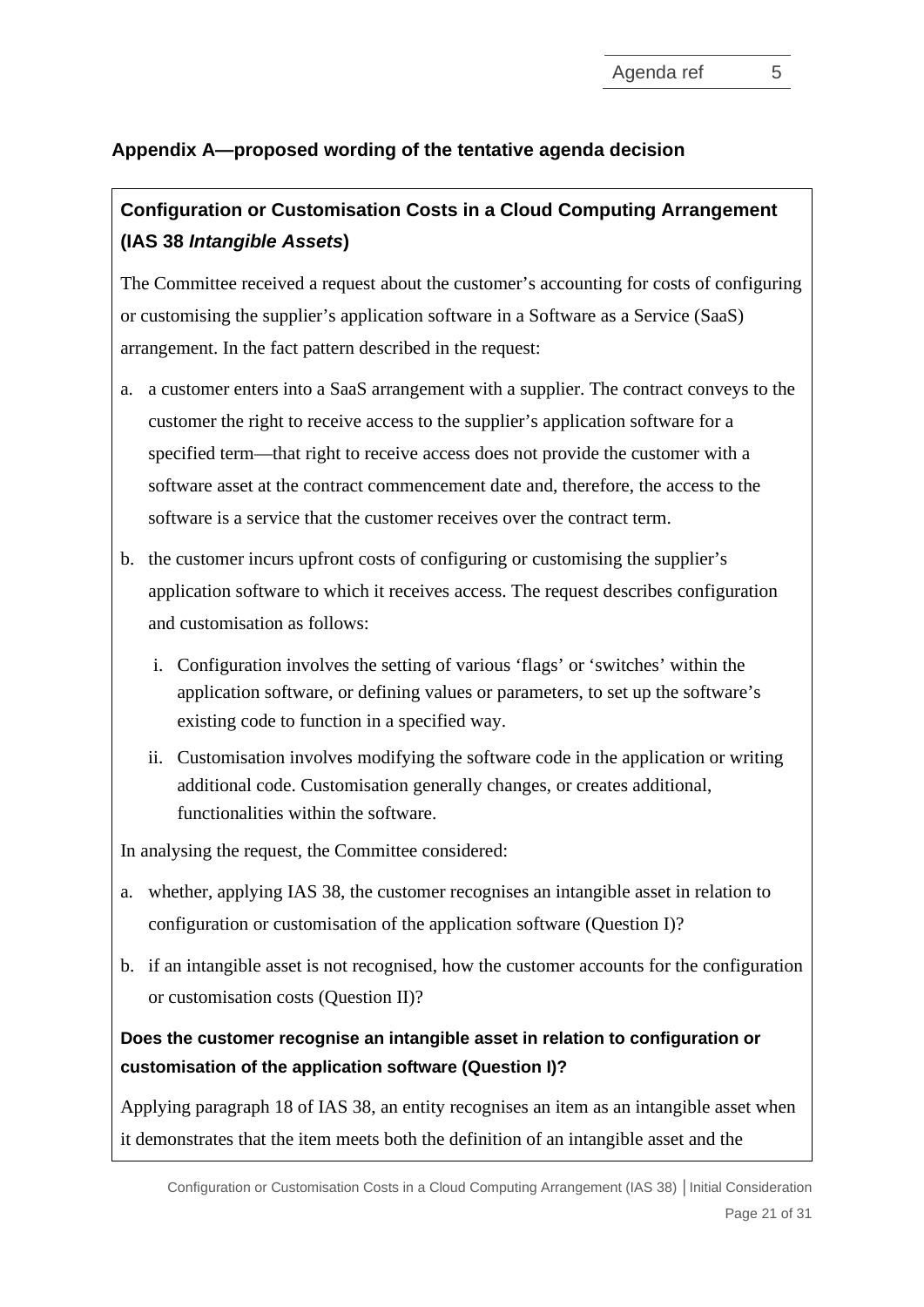# **Appendix A—proposed wording of the tentative agenda decision**

# **Configuration or Customisation Costs in a Cloud Computing Arrangement (IAS 38** *Intangible Assets***)**

The Committee received a request about the customer's accounting for costs of configuring or customising the supplier's application software in a Software as a Service (SaaS) arrangement. In the fact pattern described in the request:

- a. a customer enters into a SaaS arrangement with a supplier. The contract conveys to the customer the right to receive access to the supplier's application software for a specified term—that right to receive access does not provide the customer with a software asset at the contract commencement date and, therefore, the access to the software is a service that the customer receives over the contract term.
- b. the customer incurs upfront costs of configuring or customising the supplier's application software to which it receives access. The request describes configuration and customisation as follows:
	- i. Configuration involves the setting of various 'flags' or 'switches' within the application software, or defining values or parameters, to set up the software's existing code to function in a specified way.
	- ii. Customisation involves modifying the software code in the application or writing additional code. Customisation generally changes, or creates additional, functionalities within the software.

In analysing the request, the Committee considered:

- a. whether, applying IAS 38, the customer recognises an intangible asset in relation to configuration or customisation of the application software (Question I)?
- b. if an intangible asset is not recognised, how the customer accounts for the configuration or customisation costs (Question II)?

# **Does the customer recognise an intangible asset in relation to configuration or customisation of the application software (Question I)?**

Applying paragraph 18 of IAS 38, an entity recognises an item as an intangible asset when it demonstrates that the item meets both the definition of an intangible asset and the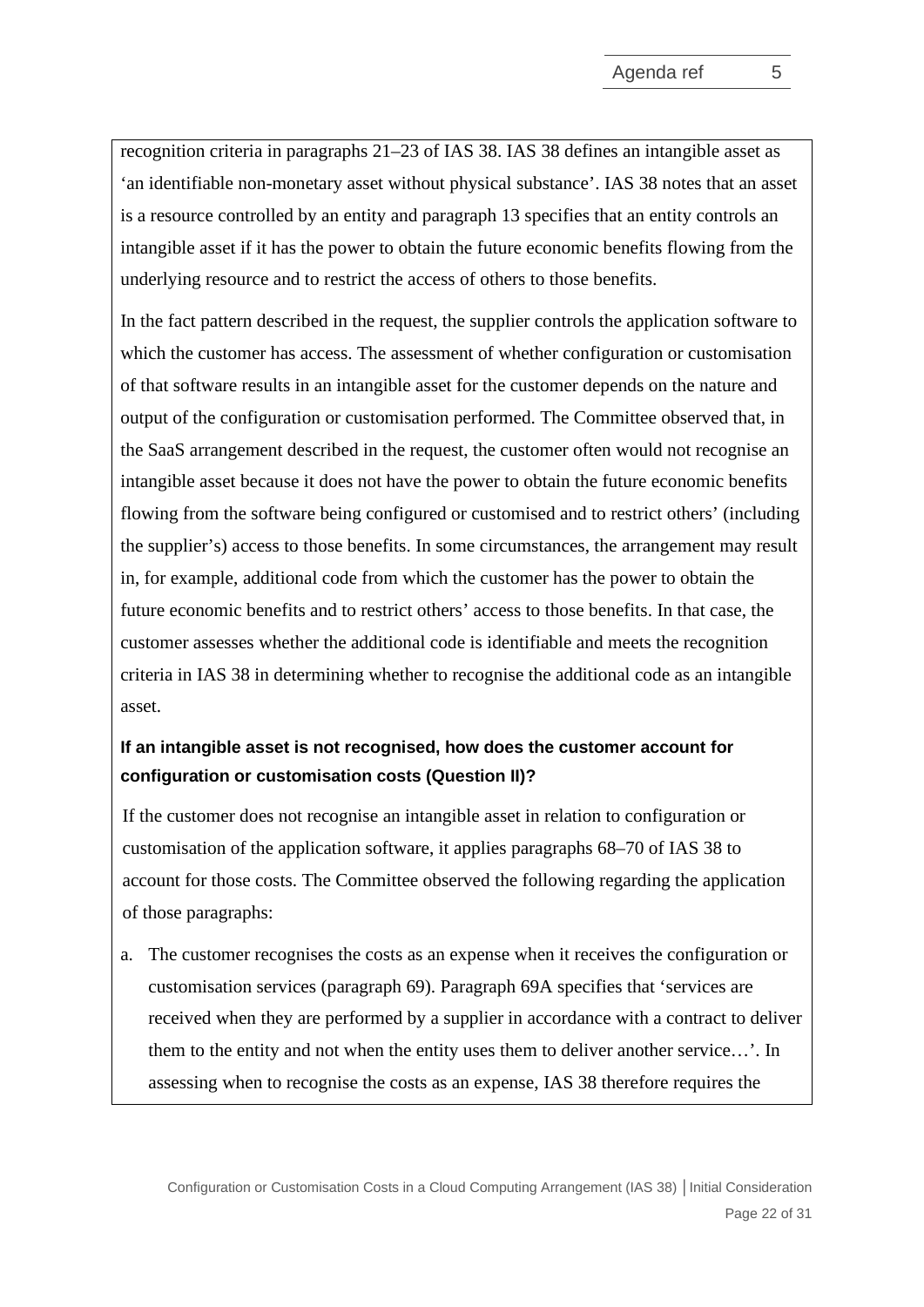recognition criteria in paragraphs 21–23 of IAS 38. IAS 38 defines an intangible asset as 'an identifiable non-monetary asset without physical substance'. IAS 38 notes that an asset is a resource controlled by an entity and paragraph 13 specifies that an entity controls an intangible asset if it has the power to obtain the future economic benefits flowing from the underlying resource and to restrict the access of others to those benefits.

In the fact pattern described in the request, the supplier controls the application software to which the customer has access. The assessment of whether configuration or customisation of that software results in an intangible asset for the customer depends on the nature and output of the configuration or customisation performed. The Committee observed that, in the SaaS arrangement described in the request, the customer often would not recognise an intangible asset because it does not have the power to obtain the future economic benefits flowing from the software being configured or customised and to restrict others' (including the supplier's) access to those benefits. In some circumstances, the arrangement may result in, for example, additional code from which the customer has the power to obtain the future economic benefits and to restrict others' access to those benefits. In that case, the customer assesses whether the additional code is identifiable and meets the recognition criteria in IAS 38 in determining whether to recognise the additional code as an intangible asset.

# **If an intangible asset is not recognised, how does the customer account for configuration or customisation costs (Question II)?**

If the customer does not recognise an intangible asset in relation to configuration or customisation of the application software, it applies paragraphs 68–70 of IAS 38 to account for those costs. The Committee observed the following regarding the application of those paragraphs:

a. The customer recognises the costs as an expense when it receives the configuration or customisation services (paragraph 69). Paragraph 69A specifies that 'services are received when they are performed by a supplier in accordance with a contract to deliver them to the entity and not when the entity uses them to deliver another service…'. In assessing when to recognise the costs as an expense, IAS 38 therefore requires the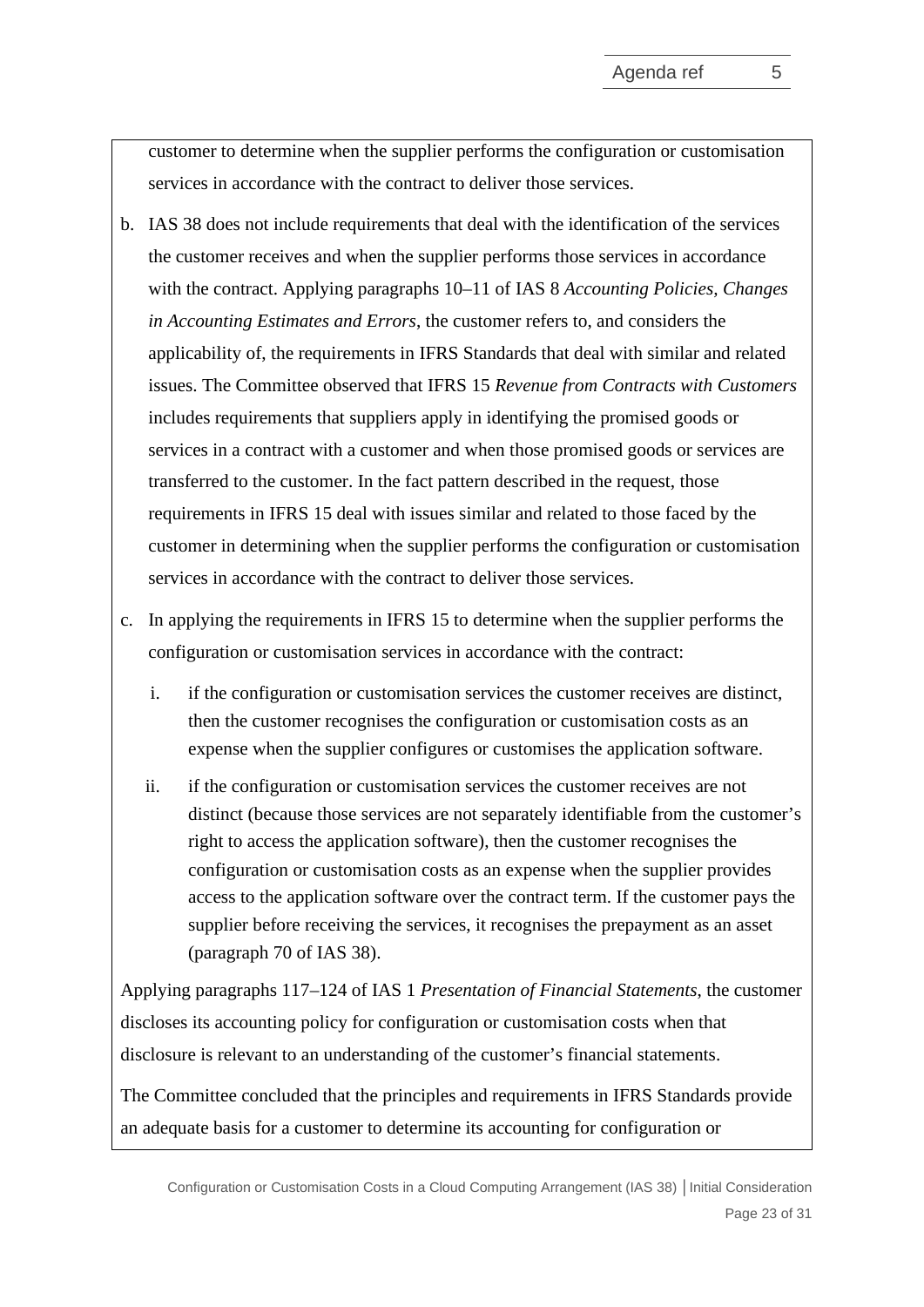customer to determine when the supplier performs the configuration or customisation services in accordance with the contract to deliver those services.

- b. IAS 38 does not include requirements that deal with the identification of the services the customer receives and when the supplier performs those services in accordance with the contract. Applying paragraphs 10–11 of IAS 8 *Accounting Policies, Changes in Accounting Estimates and Errors*, the customer refers to, and considers the applicability of, the requirements in IFRS Standards that deal with similar and related issues. The Committee observed that IFRS 15 *Revenue from Contracts with Customers*  includes requirements that suppliers apply in identifying the promised goods or services in a contract with a customer and when those promised goods or services are transferred to the customer. In the fact pattern described in the request, those requirements in IFRS 15 deal with issues similar and related to those faced by the customer in determining when the supplier performs the configuration or customisation services in accordance with the contract to deliver those services.
- c. In applying the requirements in IFRS 15 to determine when the supplier performs the configuration or customisation services in accordance with the contract:
	- i. if the configuration or customisation services the customer receives are distinct, then the customer recognises the configuration or customisation costs as an expense when the supplier configures or customises the application software.
	- ii. if the configuration or customisation services the customer receives are not distinct (because those services are not separately identifiable from the customer's right to access the application software), then the customer recognises the configuration or customisation costs as an expense when the supplier provides access to the application software over the contract term. If the customer pays the supplier before receiving the services, it recognises the prepayment as an asset (paragraph 70 of IAS 38).

Applying paragraphs 117–124 of IAS 1 *Presentation of Financial Statements*, the customer discloses its accounting policy for configuration or customisation costs when that disclosure is relevant to an understanding of the customer's financial statements.

The Committee concluded that the principles and requirements in IFRS Standards provide an adequate basis for a customer to determine its accounting for configuration or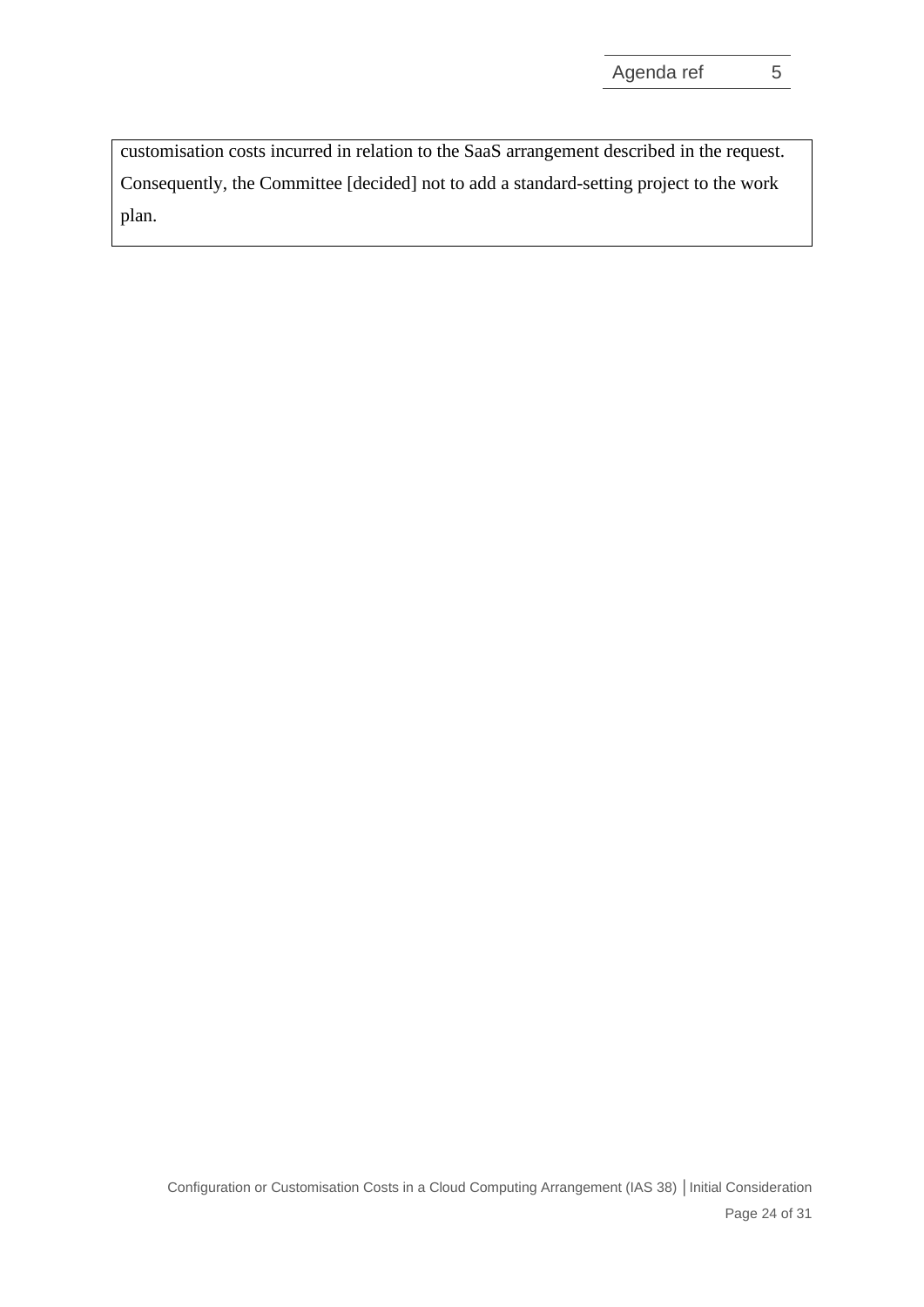customisation costs incurred in relation to the SaaS arrangement described in the request. Consequently, the Committee [decided] not to add a standard-setting project to the work plan.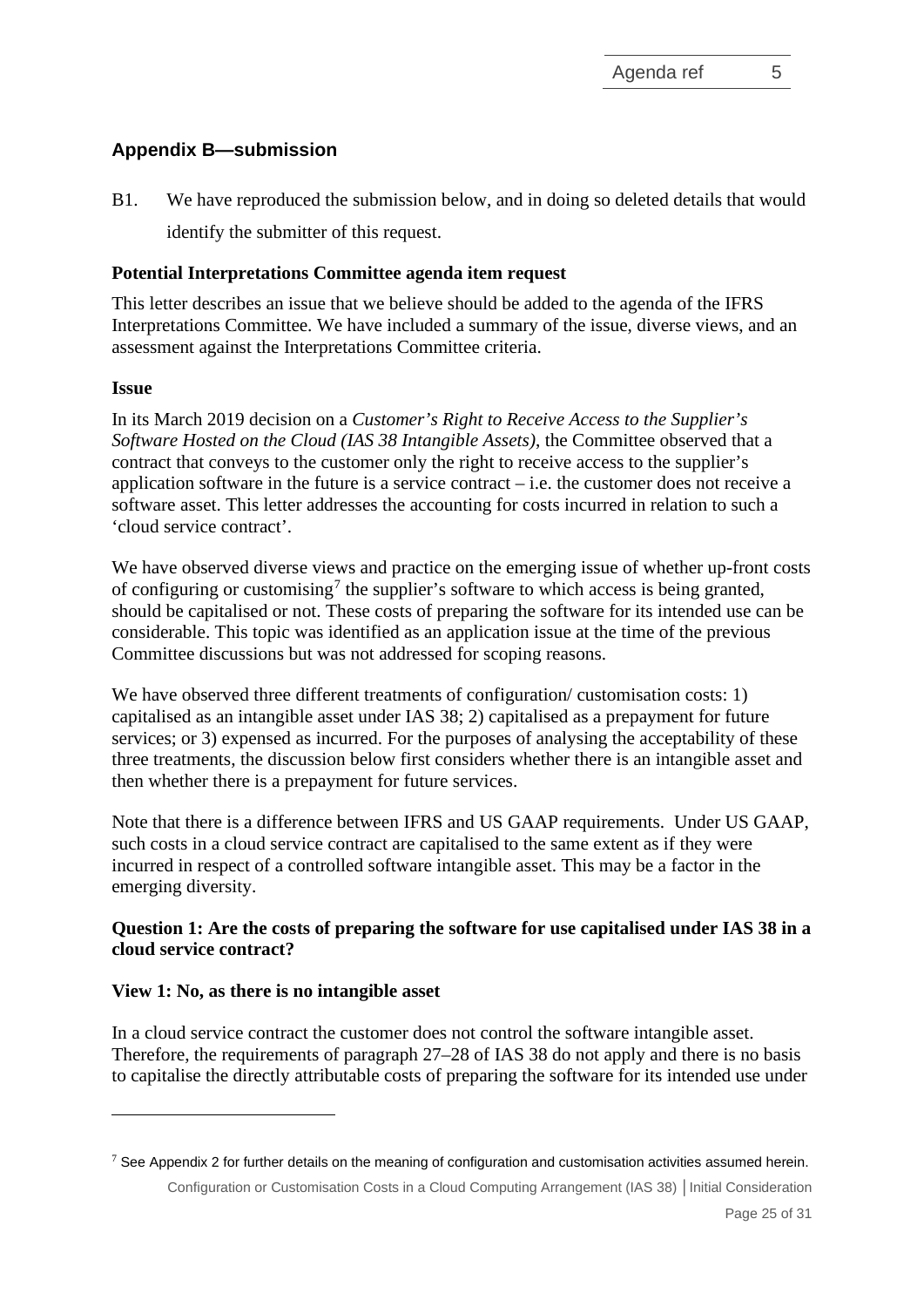# **Appendix B—submission**

B1. We have reproduced the submission below, and in doing so deleted details that would identify the submitter of this request.

# **Potential Interpretations Committee agenda item request**

This letter describes an issue that we believe should be added to the agenda of the IFRS Interpretations Committee. We have included a summary of the issue, diverse views, and an assessment against the Interpretations Committee criteria.

## **Issue**

In its March 2019 decision on a *Customer's Right to Receive Access to the Supplier's Software Hosted on the Cloud (IAS 38 Intangible Assets)*, the Committee observed that a contract that conveys to the customer only the right to receive access to the supplier's application software in the future is a service contract  $-$  i.e. the customer does not receive a software asset. This letter addresses the accounting for costs incurred in relation to such a 'cloud service contract'.

We have observed diverse views and practice on the emerging issue of whether up-front costs of configuring or customising<sup>[7](#page-24-0)</sup> the supplier's software to which access is being granted, should be capitalised or not. These costs of preparing the software for its intended use can be considerable. This topic was identified as an application issue at the time of the previous Committee discussions but was not addressed for scoping reasons.

We have observed three different treatments of configuration/ customisation costs: 1) capitalised as an intangible asset under IAS 38; 2) capitalised as a prepayment for future services; or 3) expensed as incurred. For the purposes of analysing the acceptability of these three treatments, the discussion below first considers whether there is an intangible asset and then whether there is a prepayment for future services.

Note that there is a difference between IFRS and US GAAP requirements. Under US GAAP, such costs in a cloud service contract are capitalised to the same extent as if they were incurred in respect of a controlled software intangible asset. This may be a factor in the emerging diversity.

# **Question 1: Are the costs of preparing the software for use capitalised under IAS 38 in a cloud service contract?**

## **View 1: No, as there is no intangible asset**

In a cloud service contract the customer does not control the software intangible asset. Therefore, the requirements of paragraph 27–28 of IAS 38 do not apply and there is no basis to capitalise the directly attributable costs of preparing the software for its intended use under

<span id="page-24-0"></span>Configuration or Customisation Costs in a Cloud Computing Arrangement (IAS 38) **│**Initial Consideration  $7$  See Appendix 2 for further details on the meaning of configuration and customisation activities assumed herein.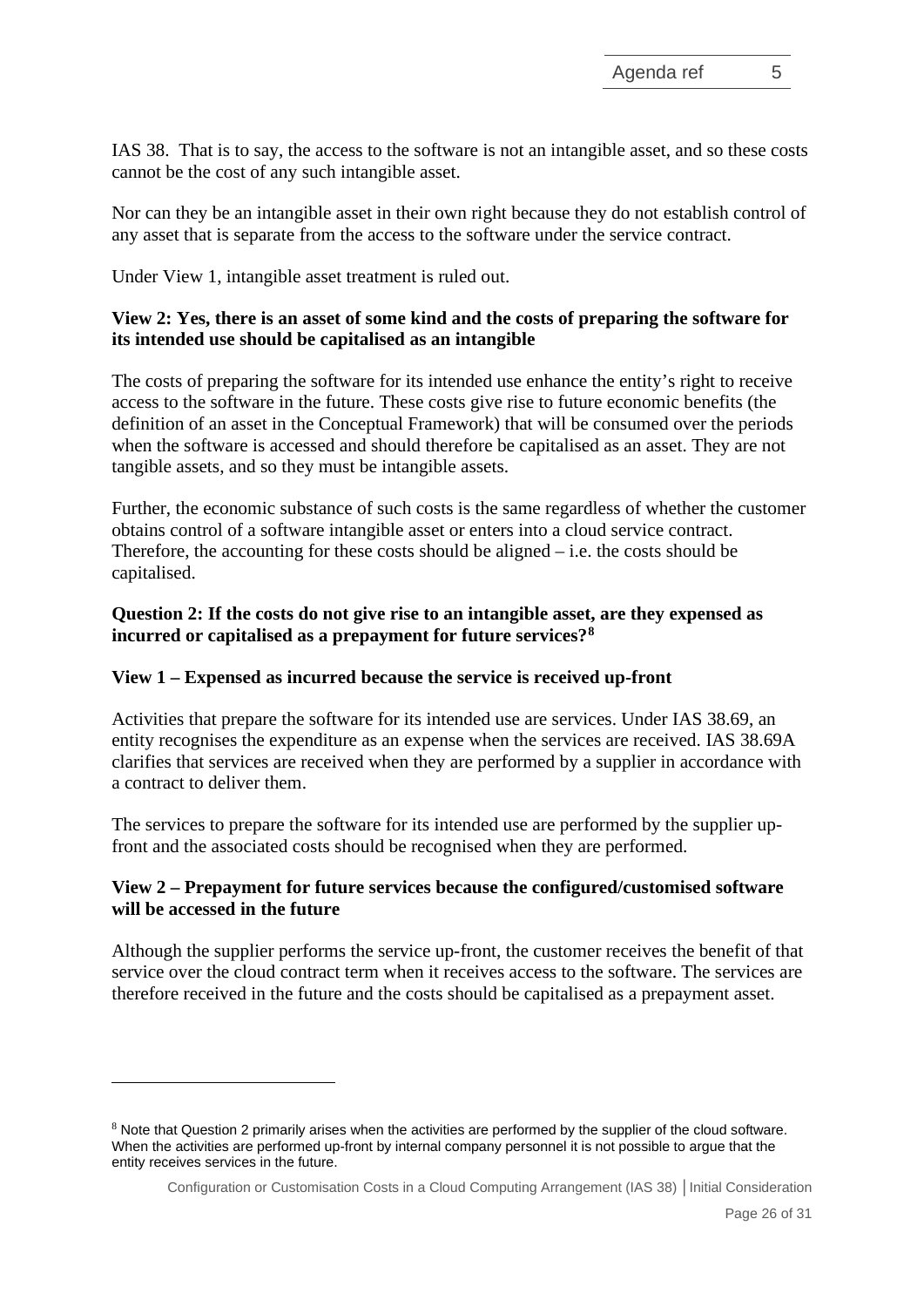IAS 38. That is to say, the access to the software is not an intangible asset, and so these costs cannot be the cost of any such intangible asset.

Nor can they be an intangible asset in their own right because they do not establish control of any asset that is separate from the access to the software under the service contract.

Under View 1, intangible asset treatment is ruled out.

## **View 2: Yes, there is an asset of some kind and the costs of preparing the software for its intended use should be capitalised as an intangible**

The costs of preparing the software for its intended use enhance the entity's right to receive access to the software in the future. These costs give rise to future economic benefits (the definition of an asset in the Conceptual Framework) that will be consumed over the periods when the software is accessed and should therefore be capitalised as an asset. They are not tangible assets, and so they must be intangible assets.

Further, the economic substance of such costs is the same regardless of whether the customer obtains control of a software intangible asset or enters into a cloud service contract. Therefore, the accounting for these costs should be aligned  $-$  i.e. the costs should be capitalised.

## **Question 2: If the costs do not give rise to an intangible asset, are they expensed as incurred or capitalised as a prepayment for future services?[8](#page-25-0)**

## **View 1 – Expensed as incurred because the service is received up-front**

Activities that prepare the software for its intended use are services. Under IAS 38.69, an entity recognises the expenditure as an expense when the services are received. IAS 38.69A clarifies that services are received when they are performed by a supplier in accordance with a contract to deliver them.

The services to prepare the software for its intended use are performed by the supplier upfront and the associated costs should be recognised when they are performed.

# **View 2 – Prepayment for future services because the configured/customised software will be accessed in the future**

Although the supplier performs the service up-front, the customer receives the benefit of that service over the cloud contract term when it receives access to the software. The services are therefore received in the future and the costs should be capitalised as a prepayment asset.

<span id="page-25-0"></span> $8$  Note that Question 2 primarily arises when the activities are performed by the supplier of the cloud software. When the activities are performed up-front by internal company personnel it is not possible to argue that the entity receives services in the future.

Configuration or Customisation Costs in a Cloud Computing Arrangement (IAS 38) **│**Initial Consideration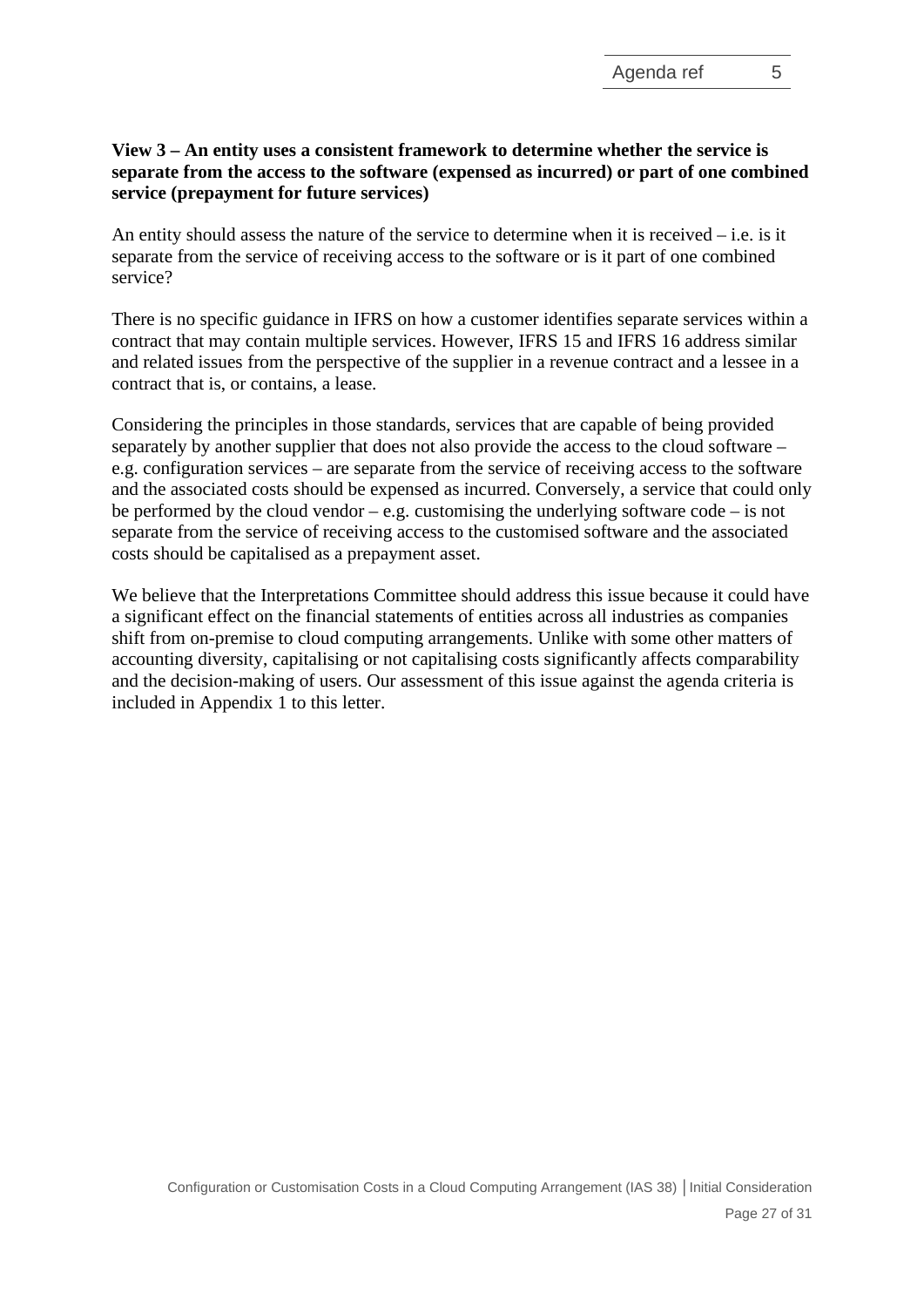# **View 3 – An entity uses a consistent framework to determine whether the service is separate from the access to the software (expensed as incurred) or part of one combined service (prepayment for future services)**

An entity should assess the nature of the service to determine when it is received – i.e. is it separate from the service of receiving access to the software or is it part of one combined service?

There is no specific guidance in IFRS on how a customer identifies separate services within a contract that may contain multiple services. However, IFRS 15 and IFRS 16 address similar and related issues from the perspective of the supplier in a revenue contract and a lessee in a contract that is, or contains, a lease.

Considering the principles in those standards, services that are capable of being provided separately by another supplier that does not also provide the access to the cloud software – e.g. configuration services – are separate from the service of receiving access to the software and the associated costs should be expensed as incurred. Conversely, a service that could only be performed by the cloud vendor – e.g. customising the underlying software code – is not separate from the service of receiving access to the customised software and the associated costs should be capitalised as a prepayment asset.

We believe that the Interpretations Committee should address this issue because it could have a significant effect on the financial statements of entities across all industries as companies shift from on-premise to cloud computing arrangements. Unlike with some other matters of accounting diversity, capitalising or not capitalising costs significantly affects comparability and the decision-making of users. Our assessment of this issue against the agenda criteria is included in Appendix 1 to this letter.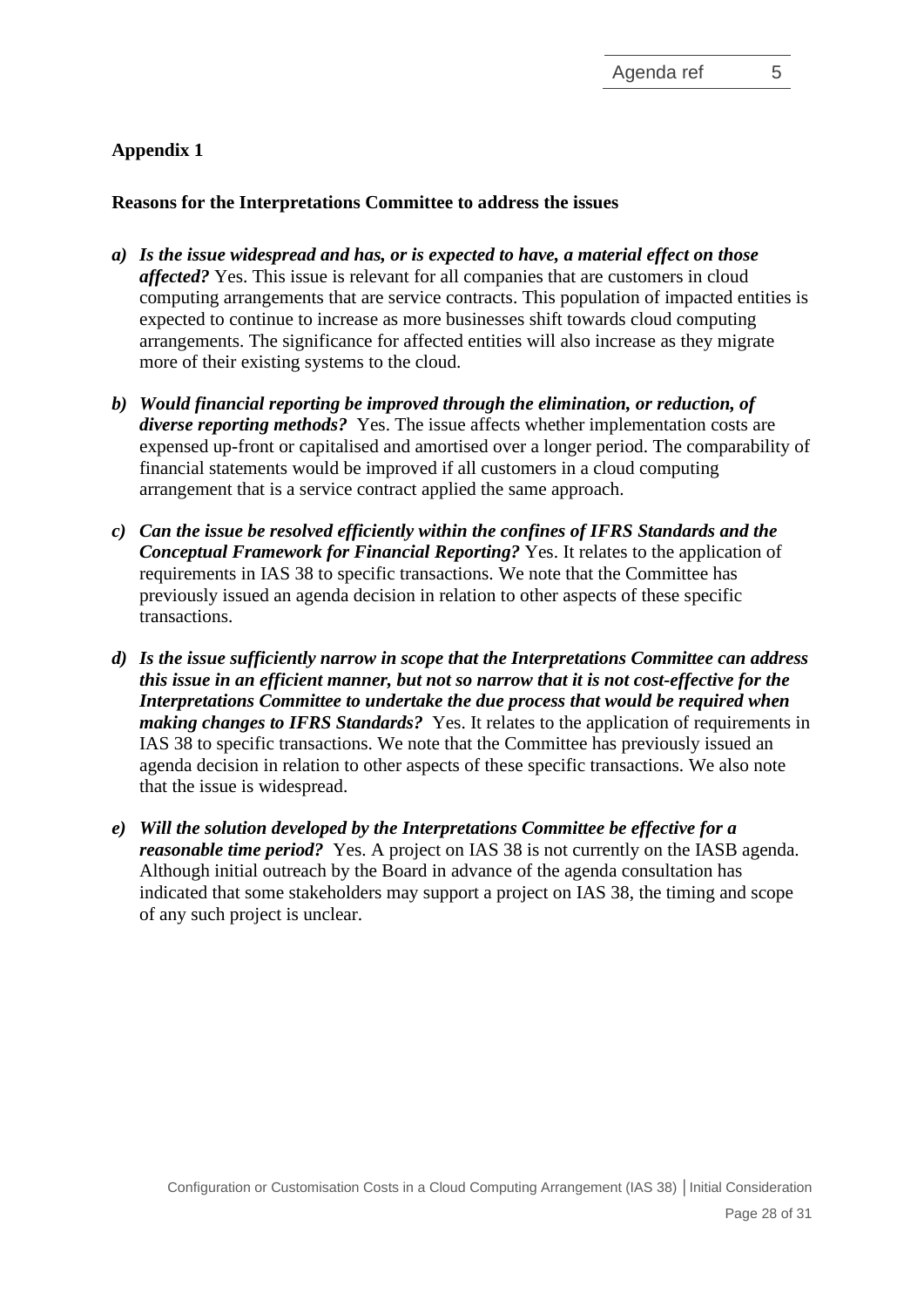# **Appendix 1**

## **Reasons for the Interpretations Committee to address the issues**

- *a) Is the issue widespread and has, or is expected to have, a material effect on those affected?* Yes. This issue is relevant for all companies that are customers in cloud computing arrangements that are service contracts. This population of impacted entities is expected to continue to increase as more businesses shift towards cloud computing arrangements. The significance for affected entities will also increase as they migrate more of their existing systems to the cloud.
- *b) Would financial reporting be improved through the elimination, or reduction, of diverse reporting methods?* Yes. The issue affects whether implementation costs are expensed up-front or capitalised and amortised over a longer period. The comparability of financial statements would be improved if all customers in a cloud computing arrangement that is a service contract applied the same approach.
- *c) Can the issue be resolved efficiently within the confines of IFRS Standards and the Conceptual Framework for Financial Reporting?* Yes. It relates to the application of requirements in IAS 38 to specific transactions. We note that the Committee has previously issued an agenda decision in relation to other aspects of these specific transactions.
- *d) Is the issue sufficiently narrow in scope that the Interpretations Committee can address this issue in an efficient manner, but not so narrow that it is not cost-effective for the Interpretations Committee to undertake the due process that would be required when making changes to IFRS Standards?* Yes. It relates to the application of requirements in IAS 38 to specific transactions. We note that the Committee has previously issued an agenda decision in relation to other aspects of these specific transactions. We also note that the issue is widespread.
- *e) Will the solution developed by the Interpretations Committee be effective for a reasonable time period?* Yes. A project on IAS 38 is not currently on the IASB agenda. Although initial outreach by the Board in advance of the agenda consultation has indicated that some stakeholders may support a project on IAS 38, the timing and scope of any such project is unclear.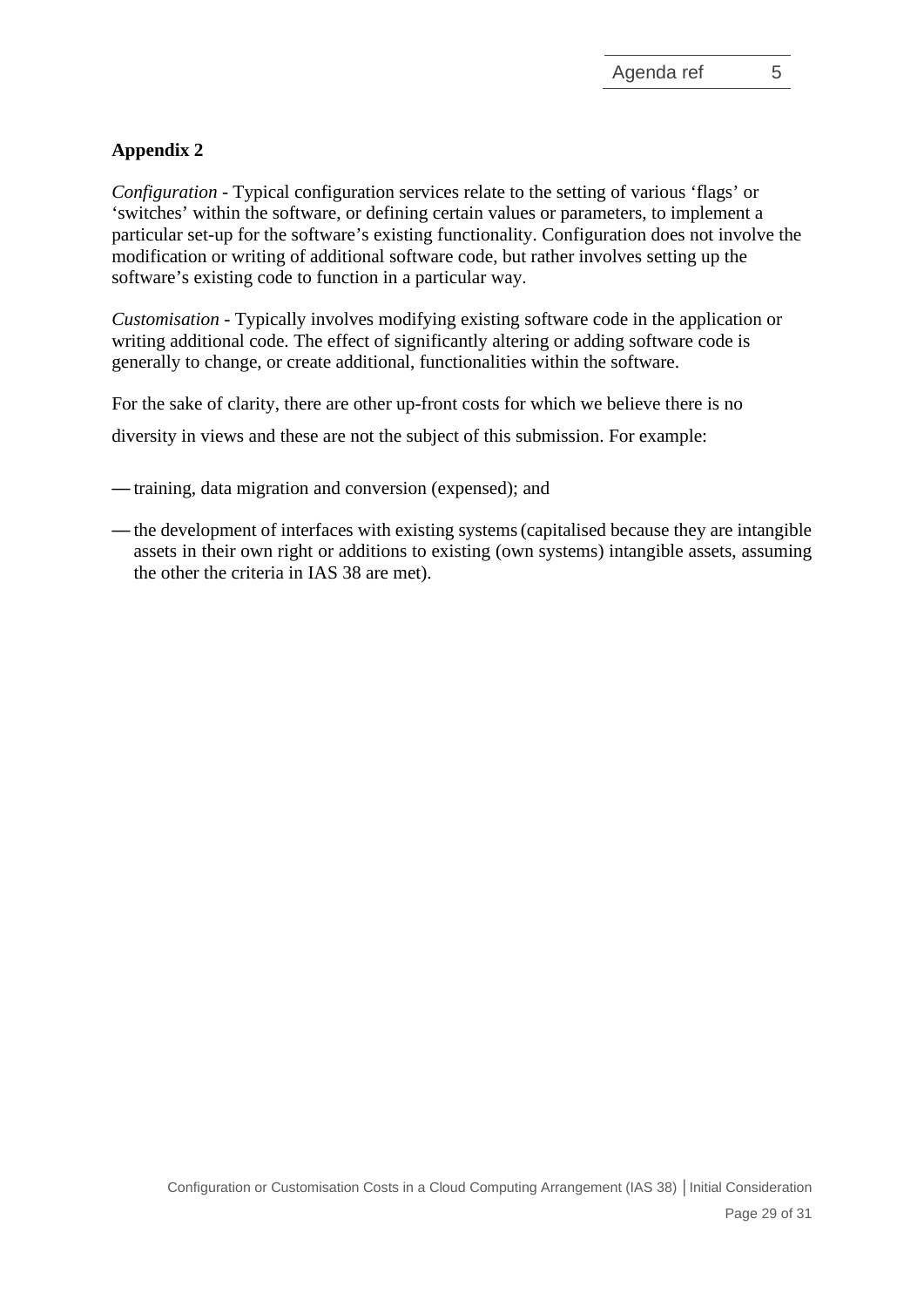# **Appendix 2**

*Configuration* - Typical configuration services relate to the setting of various 'flags' or 'switches' within the software, or defining certain values or parameters, to implement a particular set-up for the software's existing functionality. Configuration does not involve the modification or writing of additional software code, but rather involves setting up the software's existing code to function in a particular way.

*Customisation* - Typically involves modifying existing software code in the application or writing additional code. The effect of significantly altering or adding software code is generally to change, or create additional, functionalities within the software.

For the sake of clarity, there are other up-front costs for which we believe there is no

diversity in views and these are not the subject of this submission. For example:

- training, data migration and conversion (expensed); and
- the development of interfaces with existing systems(capitalised because they are intangible assets in their own right or additions to existing (own systems) intangible assets, assuming the other the criteria in IAS 38 are met).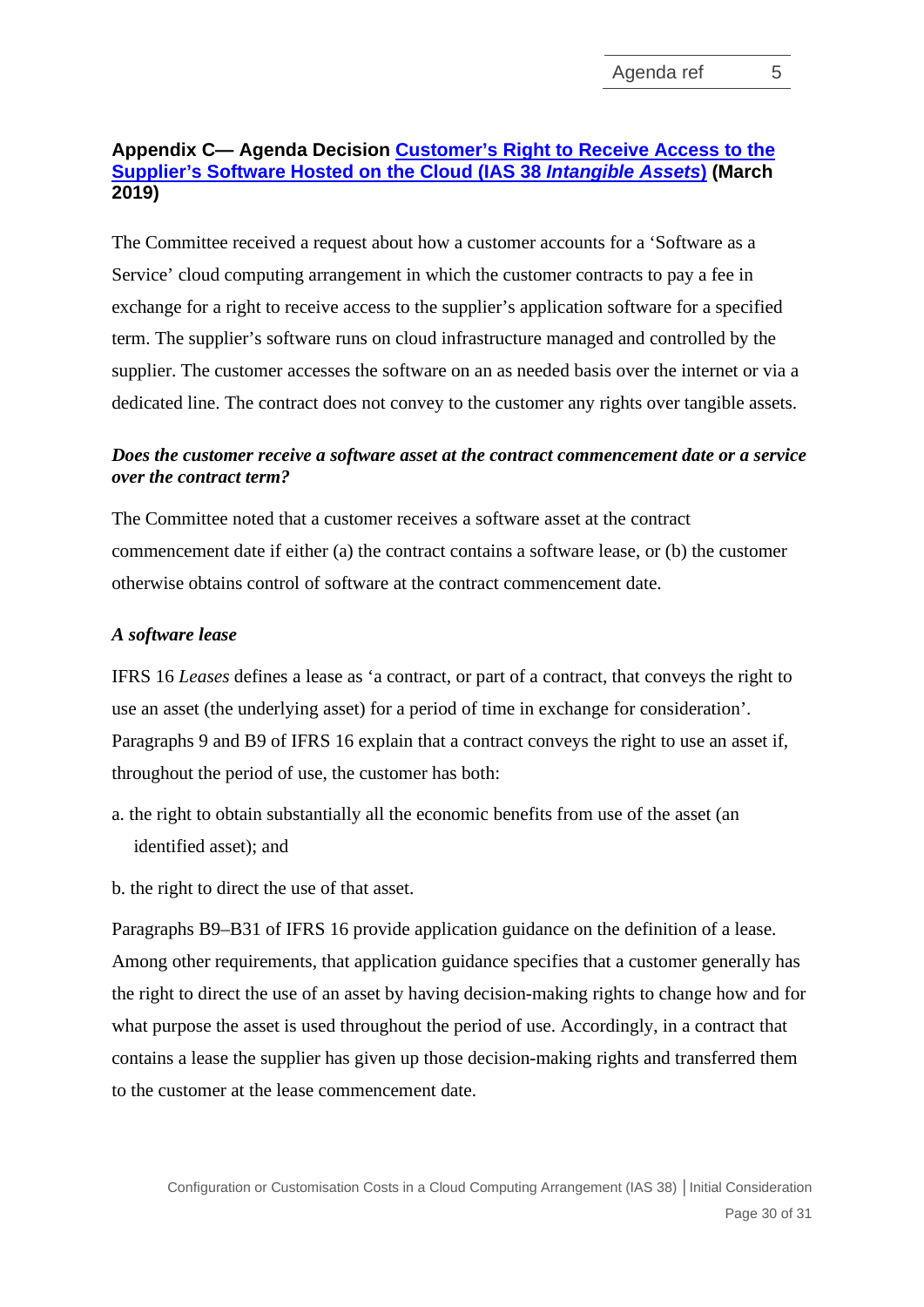# **Appendix C— Agenda Decision [Customer's Right to Receive Access to the](https://cdn.ifrs.org/-/media/feature/supporting-implementation/agenda-decisions/ias38-customers-right-to-receive-access-to-the-suppliers-software-hosted-on-the-cloud-mar-19.pdf)  [Supplier's Software Hosted on the Cloud \(IAS 38](https://cdn.ifrs.org/-/media/feature/supporting-implementation/agenda-decisions/ias38-customers-right-to-receive-access-to-the-suppliers-software-hosted-on-the-cloud-mar-19.pdf)** *Intangible Assets***) (March 2019)**

The Committee received a request about how a customer accounts for a 'Software as a Service' cloud computing arrangement in which the customer contracts to pay a fee in exchange for a right to receive access to the supplier's application software for a specified term. The supplier's software runs on cloud infrastructure managed and controlled by the supplier. The customer accesses the software on an as needed basis over the internet or via a dedicated line. The contract does not convey to the customer any rights over tangible assets.

# *Does the customer receive a software asset at the contract commencement date or a service over the contract term?*

The Committee noted that a customer receives a software asset at the contract commencement date if either (a) the contract contains a software lease, or (b) the customer otherwise obtains control of software at the contract commencement date.

## *A software lease*

IFRS 16 *Leases* defines a lease as 'a contract, or part of a contract, that conveys the right to use an asset (the underlying asset) for a period of time in exchange for consideration'. Paragraphs 9 and B9 of IFRS 16 explain that a contract conveys the right to use an asset if, throughout the period of use, the customer has both:

- a. the right to obtain substantially all the economic benefits from use of the asset (an identified asset); and
- b. the right to direct the use of that asset.

Paragraphs B9–B31 of IFRS 16 provide application guidance on the definition of a lease. Among other requirements, that application guidance specifies that a customer generally has the right to direct the use of an asset by having decision-making rights to change how and for what purpose the asset is used throughout the period of use. Accordingly, in a contract that contains a lease the supplier has given up those decision-making rights and transferred them to the customer at the lease commencement date.